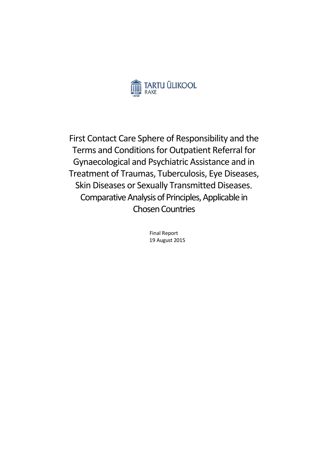

First Contact Care Sphere of Responsibility and the Terms and Conditions for Outpatient Referral for Gynaecological and Psychiatric Assistance and in Treatment of Traumas, Tuberculosis, Eye Diseases, Skin Diseases or Sexually Transmitted Diseases. Comparative Analysis of Principles, Applicable in Chosen Countries

> Final Report 19 August 2015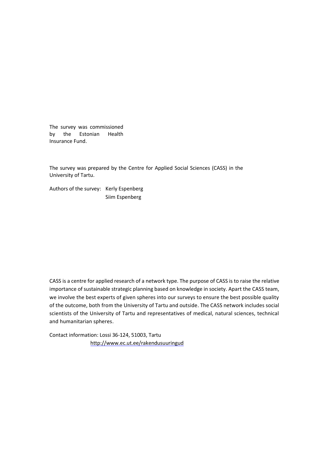The survey was commissioned by the Estonian Health Insurance Fund.

The survey was prepared by the Centre for Applied Social Sciences (CASS) in the University of Tartu.

Authors of the survey: Kerly Espenberg Siim Espenberg

CASS is a centre for applied research of a network type. The purpose of CASS is to raise the relative importance of sustainable strategic planning based on knowledge in society. Apart the CASS team, we involve the best experts of given spheres into our surveys to ensure the best possible quality of the outcome, both from the University of Tartu and outside. The CASS network includes social scientists of the University of Tartu and representatives of medical, natural sciences, technical and humanitarian spheres.

Contact information: Lossi 36-124, 51003, Tartu <http://www.ec.ut.ee/rakendusuuringud>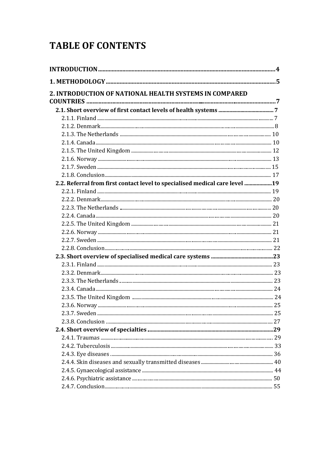# **TABLE OF CONTENTS**

| 2. INTRODUCTION OF NATIONAL HEALTH SYSTEMS IN COMPARED                      |  |
|-----------------------------------------------------------------------------|--|
|                                                                             |  |
|                                                                             |  |
|                                                                             |  |
|                                                                             |  |
|                                                                             |  |
|                                                                             |  |
|                                                                             |  |
|                                                                             |  |
|                                                                             |  |
|                                                                             |  |
| 2.2. Referral from first contact level to specialised medical care level 19 |  |
|                                                                             |  |
|                                                                             |  |
|                                                                             |  |
|                                                                             |  |
|                                                                             |  |
|                                                                             |  |
|                                                                             |  |
|                                                                             |  |
|                                                                             |  |
|                                                                             |  |
|                                                                             |  |
|                                                                             |  |
|                                                                             |  |
|                                                                             |  |
|                                                                             |  |
|                                                                             |  |
|                                                                             |  |
|                                                                             |  |
|                                                                             |  |
|                                                                             |  |
|                                                                             |  |
|                                                                             |  |
|                                                                             |  |
|                                                                             |  |
|                                                                             |  |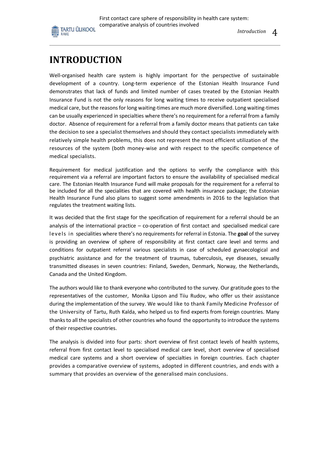

*Introduction* 4

# **INTRODUCTION**

Well-organised health care system is highly important for the perspective of sustainable development of a country. Long-term experience of the Estonian Health Insurance Fund demonstrates that lack of funds and limited number of cases treated by the Estonian Health Insurance Fund is not the only reasons for long waiting times to receive outpatient specialised medical care, but the reasons for long waiting-times are much more diversified. Long waiting-times can be usually experienced in specialties where there's no requirement for a referral from a family doctor. Absence of requirement for a referral from a family doctor means that patients can take the decision to see a specialist themselves and should they contact specialists immediately with relatively simple health problems, this does not represent the most efficient utilization of the resources of the system (both money-wise and with respect to the specific competence of medical specialists.

Requirement for medical justification and the options to verify the compliance with this requirement via a referral are important factors to ensure the availability of specialised medical care. The Estonian Health Insurance Fund will make proposals for the requirement for a referral to be included for all the specialities that are covered with health insurance package; the Estonian Health Insurance Fund also plans to suggest some amendments in 2016 to the legislation that regulates the treatment waiting lists.

It was decided that the first stage for the specification of requirement for a referral should be an analysis of the international practice – co-operation of first contact and specialised medical care leve ls in specialities where there's no requirements for referral in Estonia. The **goal** of the survey is providing an overview of sphere of responsibility at first contact care level and terms and conditions for outpatient referral various specialists in case of scheduled gynaecological and psychiatric assistance and for the treatment of traumas, tuberculosis, eye diseases, sexually transmitted diseases in seven countries: Finland, Sweden, Denmark, Norway, the Netherlands, Canada and the United Kingdom.

The authors would like to thank everyone who contributed to the survey. Our gratitude goes to the representatives of the customer, Monika Lipson and Tiiu Rudov, who offer us their assistance during the implementation of the survey. We would like to thank Family Medicine Professor of the University of Tartu, Ruth Kalda, who helped us to find experts from foreign countries. Many thanks to all the specialists of other countries who found the opportunity to introduce the systems of their respective countries.

The analysis is divided into four parts: short overview of first contact levels of health systems, referral from first contact level to specialised medical care level, short overview of specialised medical care systems and a short overview of specialties in foreign countries. Each chapter provides a comparative overview of systems, adopted in different countries, and ends with a summary that provides an overview of the generalised main conclusions.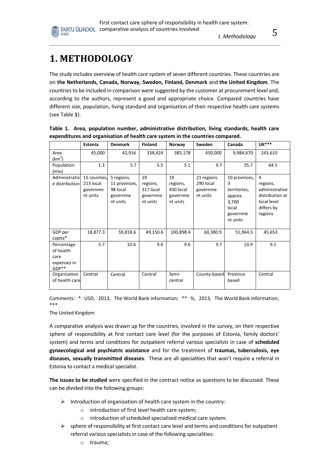# **1. METHODOLOGY**

The study includes overview of health care system of seven different countries. These countries are on **the Netherlands, Canada, Norway, Sweden, Finland, Denmark** and **the United Kingdom**. The countries to be included in comparison were suggested by the customer at procurement level and, according to the authors, represent a good and appropriate choice. Compared countries have different size, population, living standard and organisation of their respective health care systems (see Table **1**).

|                                                           | Estonia                                           | <b>Denmark</b>                                                  | <b>Finland</b>                                      | Norway                                              | Sweden                                           | Canada                                                                                  | <b>UK***</b>                                                                               |
|-----------------------------------------------------------|---------------------------------------------------|-----------------------------------------------------------------|-----------------------------------------------------|-----------------------------------------------------|--------------------------------------------------|-----------------------------------------------------------------------------------------|--------------------------------------------------------------------------------------------|
| Area<br>(km <sup>2</sup> )                                | 45,000                                            | 42,916                                                          | 338,424                                             | 385,178                                             | 450,000                                          | 9,984,670                                                                               | 243,610                                                                                    |
| Population<br>(mio)                                       | 1.3                                               | 5.7                                                             | 5.5                                                 | 5.1                                                 | 9.7                                              | 35.7                                                                                    | 64.5                                                                                       |
| Administrativ<br>e distribution                           | 15 counties,<br>213 local<br>governme<br>nt units | 5 regions,<br>11 provinces,<br>98 local<br>governme<br>nt units | 19<br>regions,<br>317 local<br>governme<br>nt units | 19<br>regions,<br>430 local<br>governme<br>nt units | 21 regions,<br>290 local<br>governme<br>nt units | 10 provinces,<br>3<br>territories,<br>approx.<br>3,700<br>local<br>governme<br>nt units | 4<br>regions,<br>administrative<br>distribution at<br>local level<br>differs by<br>regions |
| GDP per<br>capita*                                        | 18,877.3                                          | 59,818.6                                                        | 49,150.6                                            | 100,898.4                                           | 60,380.9                                         | 51,964.3                                                                                | 45,653                                                                                     |
| Percentage<br>of health<br>care<br>expenses in<br>$GDP**$ | 5.7                                               | 10.6                                                            | 9.4                                                 | 9.6                                                 | 9.7                                              | 10.9                                                                                    | 9.1                                                                                        |
| Organisation<br>of health care                            | Central                                           | Central                                                         | Central                                             | Semi-<br>central                                    | County-based                                     | Province-<br>based                                                                      | Central                                                                                    |

|  |  | Table 1. Area, population number, administrative distribution, living standards, health care |  |  |  |
|--|--|----------------------------------------------------------------------------------------------|--|--|--|
|  |  | expenditures and organisation of health care system in the countries compared.               |  |  |  |

Comments: \* USD, 2013, The World Bank information; \*\* %, 2013, The World Bank information; \*\*\*

#### The United Kingdom

A comparative analysis was drawn up for the countries, involved in the survey, on their respective sphere of responsibility at first contact care level (for the purposes of Estonia, family doctors' system) and terms and conditions for outpatient referral various specialists in case of **scheduled gynaecological and psychiatric assistance** and for the treatment of **traumas, tuberculosis, eye diseases, sexually transmitted diseases**. These are all specialities that won't require a referral in Estonia to contact a medical specialist.

**The issues to be studied** were specified in the contract notice as questions to be discussed. These can be divided into the following groups:

- $\triangleright$  Introduction of organisation of health care system in the country:
	- o introduction of first level health care system;
	- o introduction of scheduled specialised medical care system.
- $\triangleright$  sphere of responsibility at first contact care level and terms and conditions for outpatient referral various specialists in case of the following specialities:
	- o trauma;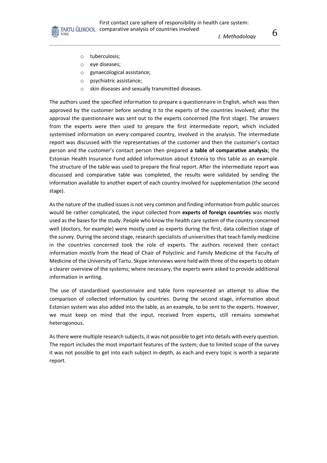o tuberculosis;

RAKE

- o eye diseases;
- o gynaecological assistance;
- o psychiatric assistance;
- o skin diseases and sexually transmitted diseases.

The authors used the specified information to prepare a questionnaire in English, which was then approved by the customer before sending it to the experts of the countries involved; after the approval the questionnaire was sent out to the experts concerned (the first stage). The answers from the experts were then used to prepare the first intermediate report, which included systemised information on every compared country, involved in the analysis. The intermediate report was discussed with the representatives of the customer and then the customer's contact person and the customer's contact person then prepared **a table of comparative analysis**; the Estonian Health Insurance Fund added information about Estonia to this table as an example. The structure of the table was used to prepare the final report. After the intermediate report was discussed and comparative table was completed, the results were validated by sending the information available to another expert of each country involved for supplementation (the second stage).

As the nature of the studied issues is not very common and finding information from public sources would be rather complicated, the input collected from **experts of foreign countries** was mostly used as the bases for the study. People who know the health care system of the country concerned well (doctors, for example) were mostly used as experts during the first, data collection stage of the survey. During the second stage, research specialists of universities that teach family medicine in the countries concerned took the role of experts. The authors received their contact information mostly from the Head of Chair of Polyclinic and Family Medicine of the Faculty of Medicine of the University of Tartu. Skype interviews were held with three of the experts to obtain a clearer overview of the systems; where necessary, the experts were asked to provide additional information in writing.

The use of standardised questionnaire and table form represented an attempt to allow the comparison of collected information by countries. During the second stage, information about Estonian system was also added into the table, as an example, to be sent to the experts. However, we must keep on mind that the input, received from experts, still remains somewhat heterogonous.

As there were multiple research subjects, it was not possible to get into details with every question. The report includes the most important features of the system; due to limited scope of the survey it was not possible to get into each subject in-depth, as each and every topic is worth a separate report.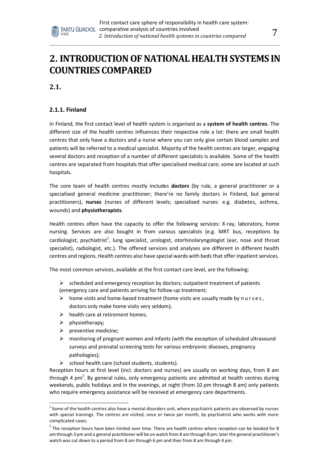

**2.1.**

# **2.1.1. Finland**

In Finland, the first contact level of health system is organised as a **system of health centres**. The different size of the health centres influences their respective role a lot: there are small health centres that only have a doctors and a nurse where you can only give certain blood samples and patients will be referred to a medical specialist. Majority of the health centres are larger, engaging several doctors and reception of a number of different specialists is available. Some of the health centres are separated from hospitals that offer specialised medical care; some are located at such hospitals.

The core team of health centres mostly includes **doctors** (by rule, a general practitioner or a specialised general medicine practitioner; there're no family doctors in Finland, but general practitioners), **nurses** (nurses of different levels; specialised nurses: e.g. diabetes, asthma, wounds) and **physiotherapists**.

Health centres often have the capacity to offer the following services: X-ray, laboratory, home nursing. Services are also bought in from various specialists (e.g. MRT bus, receptions by cardiologist, psychiatrist<sup>1</sup>, lung specialist, urologist, otorhinolaryngologist (ear, nose and throat specialist), radiologist, etc.). The offered services and analyses are different in different health centres and regions. Health centres also have special wards with beds that offer inpatient services.

The most common services, available at the first contact care level, are the following:

- $\triangleright$  scheduled and emergency reception by doctors; outpatient treatment of patients (emergency care and patients arriving for follow-up treatment;
- $\triangleright$  home visits and home-based treatment (home visits are usually made by nurses, doctors only make home visits very seldom);
- $\triangleright$  health care at retirement homes;
- $\triangleright$  physiotherapy;
- $\triangleright$  preventive medicine;
- $\triangleright$  monitoring of pregnant women and infants (with the exception of scheduled ultrasound surveys and prenatal screening tests for various embryonic diseases, pregnancy pathologies);
- $\triangleright$  school health care (school students, students).

Reception hours at first level (incl. doctors and nurses) are usually on working days, from 8 am through 4 pm<sup>2</sup>. By general rules, only emergency patients are admitted at health centres during weekends, public holidays and in the evenings, at night (from 10 pm through 8 am) only patients who require emergency assistance will be received at emergency care departments.

 $^1$ Some of the health centres also have a mental disorders unit, where psychiatric patients are observed by nurses with special trainings. The centres are visited, once or twice per month, by psychiatrist who works with more complicated cases.

 $^2$  The reception hours have been limited over time. There are health centres where reception can be booked for 8 am through 3 pm and a general practitioner will be on watch from 8 am through 8 pm; later the general practitioner's watch was cut down to a period from 8 am through 6 pm and then from 8 am through 4 pm.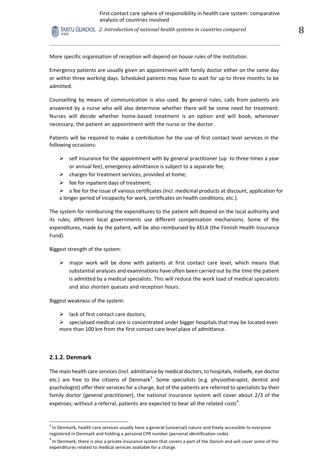TARTU ÜLIKOOL 2. Introduction of national health systems in countries compared  $8$ RAKE

More specific organisation of reception will depend on house rules of the institution.

Emergency patients are usually given an appointment with family doctor either on the same day or within three working days. Scheduled patients may have to wait for up to three months to be admitted.

Counselling by means of communication is also used. By general rules, calls from patients are answered by a nurse who will also determine whether there will be some need for treatment. Nurses will decide whether home-based treatment is an option and will book, whenever necessary, the patient an appointment with the nurse or the doctor.

Patients will be required to make a contribution for the use of first contact level services in the following occasions:

- $\triangleright$  self insurance for the appointment with by general practitioner (up to three times a year or annual fee), emergency admittance is subject to a separate fee;
- $\triangleright$  charges for treatment services, provided at home;
- $\triangleright$  fee for inpatient days of treatment;
- $\triangleright$  a fee for the issue of various certificates (incl. medicinal products at discount, application for a longer period of incapacity for work, certificates on health conditions, etc.).

The system for reimbursing the expenditures to the patient will depend on the local authority and its rules; different local governments use different compensation mechanisms. Some of the expenditures, made by the patient, will be also reimbursed by KELA (the Finnish Health Insurance Fund).

Biggest strength of the system:

 $\triangleright$  major work will be done with patients at first contact care level, which means that substantial analyses and examinations have often been carried out by the time the patient is admitted by a medical specialists. This will reduce the work load of medical specialists and also shorten queues and reception hours.

Biggest weakness of the system:

- $\triangleright$  lack of first contact care doctors;
- $\triangleright$  specialised medical care is concentrated under bigger hospitals that may be located even more than 100 km from the first contact care level place of admittance.

#### **2.1.2. Denmark**

The main health care services (incl. admittance by medical doctors, to hospitals, midwife, eye doctor etc.) are free to the citizens of Denmark<sup>3</sup>. Some specialists (e.g. physiotherapist, dentist and psychologist) offer their services for a charge, but of the patients are referred to specialists by their family doctor (*general practitioner*), the national insurance system will cover about 2/3 of the expenses; without a referral, patients are expected to bear all the related costs<sup>4</sup>.

 $3$  In Denmark, health care services usually have a general (universal) nature and freely accessible to everyone registered in Denmark and holding a personal CPR number (personal identification code).

 $<sup>4</sup>$  In Denmark, there is also a private insurance system that covers a part of the Danish and will cover some of the</sup> expenditures related to medical services available for a charge.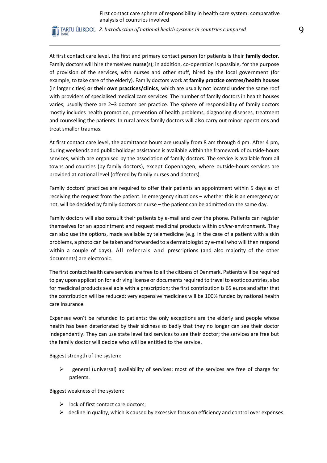TARTU ÜLIKOOL 2. Introduction of national health systems in countries compared **9** RAKE

At first contact care level, the first and primary contact person for patients is their **family doctor**. Family doctors will hire themselves **nurse**(s); in addition, co-operation is possible, for the purpose of provision of the services, with nurses and other stuff, hired by the local government (for example, to take care of the elderly). Family doctors work at **family practice centres/health houses** (in larger cities) **or their own practices/clinics**, which are usually not located under the same roof with providers of specialised medical care services. The number of family doctors in health houses varies; usually there are 2–3 doctors per practice. The sphere of responsibility of family doctors mostly includes health promotion, prevention of health problems, diagnosing diseases, treatment and counselling the patients. In rural areas family doctors will also carry out minor operations and treat smaller traumas.

At first contact care level, the admittance hours are usually from 8 am through 4 pm. After 4 pm, during weekends and public holidays assistance is available within the framework of outside-hours services, which are organised by the association of family doctors. The service is available from all towns and counties (by family doctors), except Copenhagen, where outside-hours services are provided at national level (offered by family nurses and doctors).

Family doctors' practices are required to offer their patients an appointment within 5 days as of receiving the request from the patient. In emergency situations – whether this is an emergency or not, will be decided by family doctors or nurse – the patient can be admitted on the same day.

Family doctors will also consult their patients by e-mail and over the phone. Patients can register themselves for an appointment and request medicinal products within *online*-environment. They can also use the options, made available by telemedicine (e.g. in the case of a patient with a skin problems, a photo can be taken and forwarded to a dermatologist by e-mail who will then respond within a couple of days). All referrals and prescriptions (and also majority of the other documents) are electronic.

The first contact health care services are free to all the citizens of Denmark. Patients will be required to pay upon application for a driving license or documents required to travel to exotic countries, also for medicinal products available with a prescription; the first contribution is 65 euros and after that the contribution will be reduced; very expensive medicines will be 100% funded by national health care insurance.

Expenses won't be refunded to patients; the only exceptions are the elderly and people whose health has been deteriorated by their sickness so badly that they no longer can see their doctor independently. They can use state level taxi services to see their doctor; the services are free but the family doctor will decide who will be entitled to the service.

Biggest strength of the system:

 $\triangleright$  general (universal) availability of services; most of the services are free of charge for patients.

Biggest weakness of the system:

- $\triangleright$  lack of first contact care doctors;
- $\triangleright$  decline in quality, which is caused by excessive focus on efficiency and control over expenses.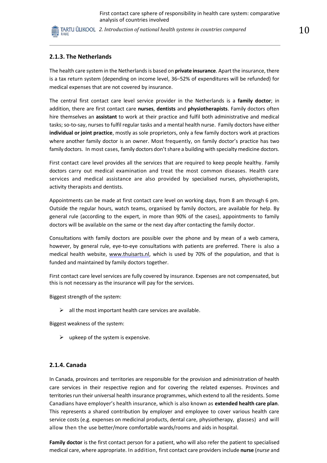*2. Introduction of national health systems in countries compared* 10

### **2.1.3. The Netherlands**

The health care system in the Netherlandsis based on **private insurance**. Apart the insurance, there is a tax return system (depending on income level, 36–52% of expenditures will be refunded) for medical expenses that are not covered by insurance.

The central first contact care level service provider in the Netherlands is a **family doctor**; in addition, there are first contact care **nurses**, **dentists** and **physiotherapists**. Family doctors often hire themselves an **assistant** to work at their practice and fulfil both administrative and medical tasks; so-to-say, nurses to fulfil regular tasks and a mental health nurse. Family doctors have either **individual or joint practice**, mostly as sole proprietors, only a few family doctors work at practices where another family doctor is an owner. Most frequently, on family doctor's practice has two family doctors. In most cases, family doctors don't share a building with specialty medicine doctors.

First contact care level provides all the services that are required to keep people healthy. Family doctors carry out medical examination and treat the most common diseases. Health care services and medical assistance are also provided by specialised nurses, physiotherapists, activity therapists and dentists.

Appointments can be made at first contact care level on working days, from 8 am through 6 pm. Outside the regular hours, watch teams, organised by family doctors, are available for help. By general rule (according to the expert, in more than 90% of the cases), appointments to family doctors will be available on the same or the next day after contacting the family doctor.

Consultations with family doctors are possible over the phone and by mean of a web camera, however, by general rule, eye-to-eye consultations with patients are preferred. There is also a medical health website, [www.thuisarts.nl,](http://www.thuisarts.nl/) which is used by 70% of the population, and that is funded and maintained by family doctors together.

First contact care level services are fully covered by insurance. Expenses are not compensated, but this is not necessary as the insurance will pay for the services.

Biggest strength of the system:

 $\triangleright$  all the most important health care services are available.

Biggest weakness of the system:

 $\triangleright$  upkeep of the system is expensive.

#### **2.1.4. Canada**

In Canada, provinces and territories are responsible for the provision and administration of health care services in their respective region and for covering the related expenses. Provinces and territories run their universal health insurance programmes, which extend to all the residents. Some Canadians have employer's health insurance, which is also known as **extended health care plan**. This represents a shared contribution by employer and employee to cover various health care service costs (e.g. expenses on medicinal products, dental care, physiotherapy, glasses) and will allow then the use better/more comfortable wards/rooms and aids in hospital.

**Family doctor** is the first contact person for a patient, who will also refer the patient to specialised medical care, where appropriate. In addition, first contact care providers include **nurse** (*nurse* and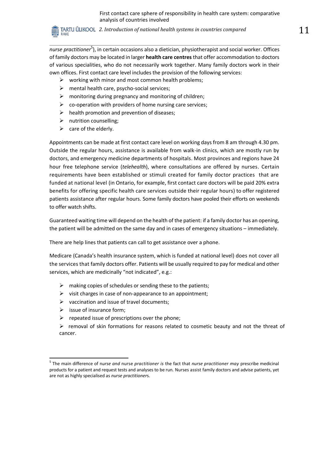*2. Introduction of national health systems in countries compared* 11 RAKE

nurse practitioner<sup>5</sup>), in certain occasions also a dietician, physiotherapist and social worker. Offices of family doctors may be located in larger **health care centres** that offer accommodation to doctors of various specialities, who do not necessarily work together. Many family doctors work in their own offices. First contact care level includes the provision of the following services:

- $\triangleright$  working with minor and most common health problems;
- $\triangleright$  mental health care, psycho-social services;
- $\triangleright$  monitoring during pregnancy and monitoring of children;
- $\triangleright$  co-operation with providers of home nursing care services;
- $\triangleright$  health promotion and prevention of diseases;
- $\triangleright$  nutrition counselling;
- $\triangleright$  care of the elderly.

Appointments can be made at first contact care level on working days from 8 am through 4.30 pm. Outside the regular hours, assistance is available from walk-in clinics, which are mostly run by doctors, and emergency medicine departments of hospitals. Most provinces and regions have 24 hour free telephone service (*telehealth*), where consultations are offered by nurses. Certain requirements have been established or stimuli created for family doctor practices that are funded at national level (in Ontario, for example, first contact care doctors will be paid 20% extra benefits for offering specific health care services outside their regular hours) to offer registered patients assistance after regular hours. Some family doctors have pooled their efforts on weekends to offer watch shifts.

Guaranteed waiting time will depend on the health of the patient: if a family doctor has an opening, the patient will be admitted on the same day and in cases of emergency situations – immediately.

There are help lines that patients can call to get assistance over a phone.

Medicare (Canada's health insurance system, which is funded at national level) does not cover all the services that family doctors offer. Patients will be usually required to pay for medical and other services, which are medicinally "not indicated", e.g.:

- $\triangleright$  making copies of schedules or sending these to the patients;
- $\triangleright$  visit charges in case of non-appearance to an appointment;
- $\triangleright$  vaccination and issue of travel documents;
- $\triangleright$  issue of insurance form;
- $\triangleright$  repeated issue of prescriptions over the phone;
- $\triangleright$  removal of skin formations for reasons related to cosmetic beauty and not the threat of cancer.

<sup>5</sup> The main difference of n*urse and* nurse *practitioner is* the fact that *nurse practitioner may* prescribe medicinal products for a patient and request tests and analyses to be run. Nurses assist family doctors and advise patients, yet are not as highly specialised as *nurse practitioner*s.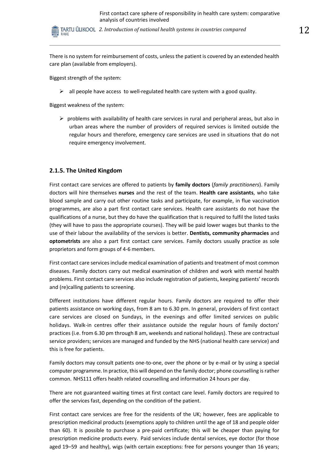*2. Introduction of national health systems in countries compared* 12 RAKE

There is no system for reimbursement of costs, unless the patient is covered by an extended health care plan (available from employers).

Biggest strength of the system:

 $\triangleright$  all people have access to well-regulated health care system with a good quality.

Biggest weakness of the system:

 $\triangleright$  problems with availability of health care services in rural and peripheral areas, but also in urban areas where the number of providers of required services is limited outside the regular hours and therefore, emergency care services are used in situations that do not require emergency involvement.

#### **2.1.5. The United Kingdom**

First contact care services are offered to patients by **family doctors** (*family practitioners*). Family doctors will hire themselves **nurses** and the rest of the team. **Health care assistants**, who take blood sample and carry out other routine tasks and participate, for example, in flue vaccination programmes, are also a part first contact care services. Health care assistants do not have the qualifications of a nurse, but they do have the qualification that is required to fulfil the listed tasks (they will have to pass the appropriate courses). They will be paid lower wages but thanks to the use of their labour the availability of the services is better. **Dentists, community pharmacies** and **optometrists** are also a part first contact care services. Family doctors usually practice as sole proprietors and form groups of 4-6 members.

First contact care services include medical examination of patients and treatment of most common diseases. Family doctors carry out medical examination of children and work with mental health problems. First contact care services also include registration of patients, keeping patients' records and (re)calling patients to screening.

Different institutions have different regular hours. Family doctors are required to offer their patients assistance on working days, from 8 am to 6.30 pm. In general, providers of first contact care services are closed on Sundays, in the evenings and offer limited services on public holidays. Walk-in centres offer their assistance outside the regular hours of family doctors' practices (i.e. from 6.30 pm through 8 am, weekends and national holidays). These are contractual service providers; services are managed and funded by the NHS (national health care service) and this is free for patients.

Family doctors may consult patients one-to-one, over the phone or by e-mail or by using a special computer programme. In practice, this will depend on the family doctor; phone counselling is rather common. NHS111 offers health related counselling and information 24 hours per day.

There are not guaranteed waiting times at first contact care level. Family doctors are required to offer the services fast, depending on the condition of the patient.

First contact care services are free for the residents of the UK; however, fees are applicable to prescription medicinal products (exemptions apply to children until the age of 18 and people older than 60). It is possible to purchase a pre-paid certificate; this will be cheaper than paying for prescription medicine products every. Paid services include dental services, eye doctor (for those aged 19–59 and healthy), wigs (with certain exceptions: free for persons younger than 16 years;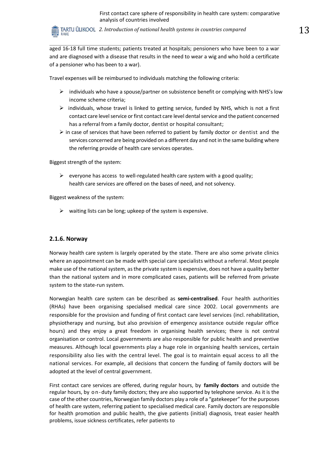*2. Introduction of national health systems in countries compared* 13 RAKE

aged 16-18 full time students; patients treated at hospitals; pensioners who have been to a war and are diagnosed with a disease that results in the need to wear a wig and who hold a certificate of a pensioner who has been to a war).

Travel expenses will be reimbursed to individuals matching the following criteria:

- $\triangleright$  individuals who have a spouse/partner on subsistence benefit or complying with NHS's low income scheme criteria;
- $\triangleright$  individuals, whose travel is linked to getting service, funded by NHS, which is not a first contact care level service or first contact care level dental service and the patient concerned has a referral from a family doctor, dentist or hospital consultant;
- $\triangleright$  in case of services that have been referred to patient by family doctor or dentist and the services concerned are being provided on a different day and not in the same building where the referring provide of health care services operates.

Biggest strength of the system:

 $\triangleright$  everyone has access to well-regulated health care system with a good quality; health care services are offered on the bases of need, and not solvency.

Biggest weakness of the system:

 $\triangleright$  waiting lists can be long; upkeep of the system is expensive.

#### **2.1.6. Norway**

Norway health care system is largely operated by the state. There are also some private clinics where an appointment can be made with special care specialists without a referral. Most people make use of the national system, as the private system is expensive, does not have a quality better than the national system and in more complicated cases, patients will be referred from private system to the state-run system.

Norwegian health care system can be described as **semi-centralised**. Four health authorities (RHAs) have been organising specialised medical care since 2002. Local governments are responsible for the provision and funding of first contact care level services (incl. rehabilitation, physiotherapy and nursing, but also provision of emergency assistance outside regular office hours) and they enjoy a great freedom in organising health services; there is not central organisation or control. Local governments are also responsible for public health and preventive measures. Although local governments play a huge role in organising health services, certain responsibility also lies with the central level. The goal is to maintain equal access to all the national services. For example, all decisions that concern the funding of family doctors will be adopted at the level of central government.

First contact care services are offered, during regular hours, by **family doctors** and outside the regular hours, by o n-duty family doctors; they are also supported by telephone service. As it is the case of the other countries, Norwegian family doctors play a role of a "gatekeeper" for the purposes of health care system, referring patient to specialised medical care. Family doctors are responsible for health promotion and public health, the give patients (initial) diagnosis, treat easier health problems, issue sickness certificates, refer patients to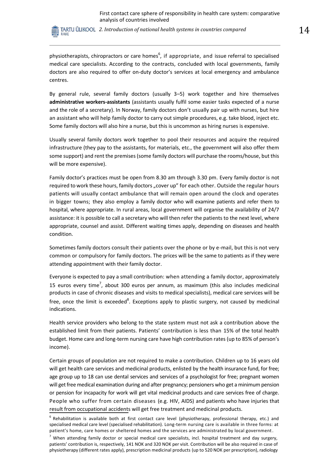TARTU ÜLIKOOL 2. Introduction of national health systems in countries compared **14** RAKE

physiotherapists, chiropractors or care homes<sup>6</sup>, if appropriate, and issue referral to specialised medical care specialists. According to the contracts, concluded with local governments, family doctors are also required to offer on-duty doctor's services at local emergency and ambulance centres.

By general rule, several family doctors (usually 3–5) work together and hire themselves **administrative workers-assistants** (assistants usually fulfil some easier tasks expected of a nurse and the role of a secretary). In Norway, family doctors don't usually pair up with nurses, but hire an assistant who will help family doctor to carry out simple procedures, e.g. take blood, inject etc. Some family doctors will also hire a nurse, but this is uncommon as hiring nurses is expensive.

Usually several family doctors work together to pool their resources and acquire the required infrastructure (they pay to the assistants, for materials, etc., the government will also offer them some support) and rent the premises (some family doctors will purchase the rooms/house, but this will be more expensive).

Family doctor's practices must be open from 8.30 am through 3.30 pm. Every family doctor is not required to work these hours, family doctors "cover up" for each other. Outside the regular hours patients will usually contact ambulance that will remain open around the clock and operates in bigger towns; they also employ a family doctor who will examine patients and refer them to hospital, where appropriate. In rural areas, local government will organise the availability of 24/7 assistance: it is possible to call a secretary who will then refer the patients to the next level, where appropriate, counsel and assist. Different waiting times apply, depending on diseases and health condition.

Sometimes family doctors consult their patients over the phone or by e-mail, but this is not very common or compulsory for family doctors. The prices will be the same to patients as if they were attending appointment with their family doctor.

Everyone is expected to pay a small contribution: when attending a family doctor, approximately 15 euros every time<sup>7</sup>, about 300 euros per annum, as maximum (this also includes medicinal products in case of chronic diseases and visits to medical specialists), medical care services will be free, once the limit is exceeded<sup>8</sup>. Exceptions apply to plastic surgery, not caused by medicinal indications.

Health service providers who belong to the state system must not ask a contribution above the established limit from their patients. Patients' contribution is less than 15% of the total health budget. Home care and long-term nursing care have high contribution rates (up to 85% of person's income).

Certain groups of population are not required to make a contribution. Children up to 16 years old will get health care services and medicinal products, enlisted by the health insurance fund, for free; age group up to 18 can use dental services and services of a psychologist for free; pregnant women will get free medical examination during and after pregnancy; pensioners who get a minimum pension or pension for incapacity for work will get vital medicinal products and care services free of charge. People who suffer from certain diseases (e.g. HIV, AIDS) and patients who have injuries that result from occupational accidents will get free treatment and medicinal products.

 $6$  Rehabilitation is available both at first contact care level (physiotherapy, professional therapy, etc.) and specialised medical care level (specialised rehabilitation). Long-term nursing care is available in three forms: at patient's home, care homes or sheltered homes and the services are administrated by local government.

 $<sup>7</sup>$  When attending family doctor or special medical care specialists, incl. hospital treatment and day surgery,</sup> patients' contribution is, respectively, 141 NOK and 320 NOK per visit. Contribution will be also required in case of physiotherapy (different rates apply), prescription medicinal products (up to 520 NOK per prescription), radiology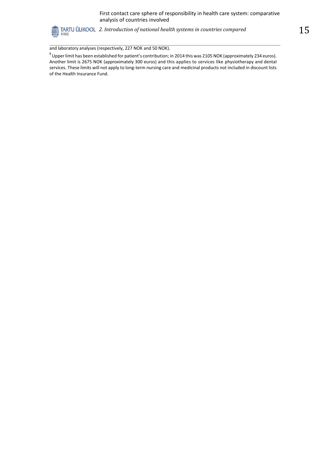

and laboratory analyses (respectively, 227 NOK and 50 NOK).

 $^8$  Upper limit has been established for patient's contribution; in 2014 this was 2105 NOK (approximately 234 euros). Another limit is 2675 NOK (approximately 300 euros) and this applies to services like physiotherapy and dental services. These limits will not apply to long-term nursing care and medicinal products not included in discount lists of the Health Insurance Fund.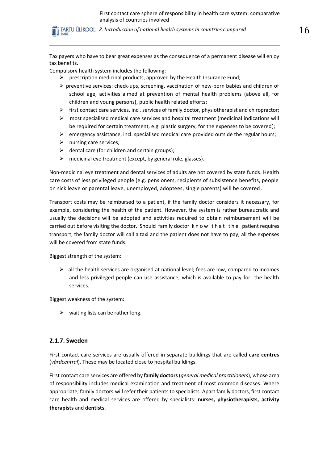TARTU ÜLIKOOL 2. Introduction of national health systems in countries compared  $16$ RAKE

Tax payers who have to bear great expenses as the consequence of a permanent disease will enjoy tax benefits.

Compulsory health system includes the following:

- $\triangleright$  prescription medicinal products, approved by the Health Insurance Fund;
- $\triangleright$  preventive services: check-ups, screening, vaccination of new-born babies and children of school age, activities aimed at prevention of mental health problems (above all, for children and young persons), public health related efforts;
- $\triangleright$  first contact care services, incl. services of family doctor, physiotherapist and chiropractor;
- $\triangleright$  most specialised medical care services and hospital treatment (medicinal indications will be required for certain treatment, e.g. plastic surgery, for the expenses to be covered);
- $\triangleright$  emergency assistance, incl. specialised medical care provided outside the regular hours;
- $\triangleright$  nursing care services;
- $\triangleright$  dental care (for children and certain groups);
- $\triangleright$  medicinal eye treatment (except, by general rule, glasses).

Non-medicinal eye treatment and dental services of adults are not covered by state funds. Health care costs of less privileged people (e.g. pensioners, recipients of subsistence benefits, people on sick leave or parental leave, unemployed, adoptees, single parents) will be covered.

Transport costs may be reimbursed to a patient, if the family doctor considers it necessary, for example, considering the health of the patient. However, the system is rather bureaucratic and usually the decisions will be adopted and activities required to obtain reimbursement will be carried out before visiting the doctor. Should family doctor know that the patient requires transport, the family doctor will call a taxi and the patient does not have to pay; all the expenses will be covered from state funds.

Biggest strength of the system:

 $\triangleright$  all the health services are organised at national level; fees are low, compared to incomes and less privileged people can use assistance, which is available to pay for the health services.

Biggest weakness of the system:

 $\triangleright$  waiting lists can be rather long.

#### **2.1.7. Sweden**

First contact care services are usually offered in separate buildings that are called **care centres**  (*vårdcentral*). These may be located close to hospital buildings.

First contact care services are offered by **family doctors**(*general medical practitioners*), whose area of responsibility includes medical examination and treatment of most common diseases. Where appropriate, family doctors will refer their patients to specialists. Apart family doctors, first contact care health and medical services are offered by specialists: **nurses, physiotherapists, activity therapists** and **dentists**.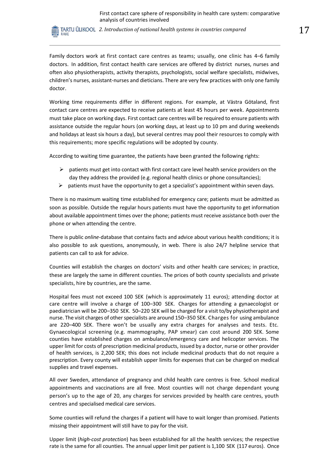*2. Introduction of national health systems in countries compared* 17 RAKE

Family doctors work at first contact care centres as teams; usually, one clinic has 4–6 family doctors. In addition, first contact health care services are offered by district nurses, nurses and often also physiotherapists, activity therapists, psychologists, social welfare specialists, midwives, children's nurses, assistant-nurses and dieticians. There are very few practices with only one family doctor.

Working time requirements differ in different regions. For example, at Västra Götaland, first contact care centres are expected to receive patients at least 45 hours per week. Appointments must take place on working days. First contact care centres will be required to ensure patients with assistance outside the regular hours (on working days, at least up to 10 pm and during weekends and holidays at least six hours a day), but several centres may pool their resources to comply with this requirements; more specific regulations will be adopted by county.

According to waiting time guarantee, the patients have been granted the following rights:

- $\triangleright$  patients must get into contact with first contact care level health service providers on the day they address the provided (e.g. regional health clinics or phone consultancies);
- $\triangleright$  patients must have the opportunity to get a specialist's appointment within seven days.

There is no maximum waiting time established for emergency care; patients must be admitted as soon as possible. Outside the regular hours patients must have the opportunity to get information about available appointment times over the phone; patients must receive assistance both over the phone or when attending the centre.

There is public *online*-database that contains facts and advice about various health conditions; it is also possible to ask questions, anonymously, in web. There is also 24/7 helpline service that patients can call to ask for advice.

Counties will establish the charges on doctors' visits and other health care services; in practice, these are largely the same in different counties. The prices of both county specialists and private specialists, hire by countries, are the same.

Hospital fees must not exceed 100 SEK (which is approximately 11 euros); attending doctor at care centre will involve a charge of 100–300 SEK. Charges for attending a gynaecologist or paediatrician will be 200–350 SEK. 50–220 SEK will be charged for a visit to/by physiotherapist and nurse. The visit charges of other specialists are around 150–350 SEK. Charges for using ambulance are 220–400 SEK. There won't be usually any extra charges for analyses and tests. Etc. Gynaecological screening (e.g. mammography, PAP smear) can cost around 200 SEK. Some counties have established charges on ambulance/emergency care and helicopter services. The upper limit for costs of prescription medicinal products, issued by a doctor, nurse or other provider of health services, is 2,200 SEK; this does not include medicinal products that do not require a prescription. Every county will establish upper limits for expenses that can be charged on medical supplies and travel expenses.

All over Sweden, attendance of pregnancy and child health care centres is free. School medical appointments and vaccinations are all free. Most counties will not charge dependant young person's up to the age of 20, any charges for services provided by health care centres, youth centres and specialised medical care services.

Some counties will refund the charges if a patient will have to wait longer than promised. Patients missing their appointment will still have to pay for the visit.

Upper limit (*high-cost protection*) has been established for all the health services; the respective rate is the same for all counties. The annual upper limit per patient is 1,100 SEK (117 euros). Once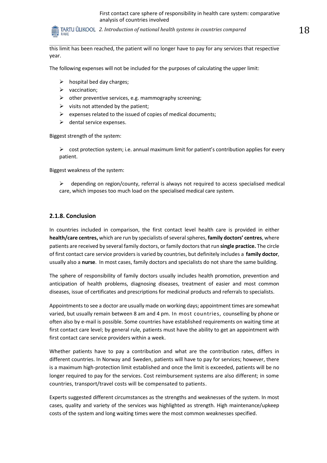*2. Introduction of national health systems in countries compared* 18 RAKE

this limit has been reached, the patient will no longer have to pay for any services that respective year.

The following expenses will not be included for the purposes of calculating the upper limit:

- $\triangleright$  hospital bed day charges;
- $\triangleright$  vaccination:
- $\triangleright$  other preventive services, e.g. mammography screening;
- $\triangleright$  visits not attended by the patient;
- $\triangleright$  expenses related to the issued of copies of medical documents;
- $\triangleright$  dental service expenses.

Biggest strength of the system:

 $\triangleright$  cost protection system; i.e. annual maximum limit for patient's contribution applies for every patient.

Biggest weakness of the system:

 $\triangleright$  depending on region/county, referral is always not required to access specialised medical care, which imposes too much load on the specialised medical care system.

#### **2.1.8. Conclusion**

In countries included in comparison, the first contact level health care is provided in either **health/care centres,** which are run by specialists of several spheres, **family doctors' centres**, where patients are received by several family doctors, or family doctors that run **single practice.** The circle of first contact care service providers is varied by countries, but definitely includes a **family doctor**, usually also a **nurse**. In most cases, family doctors and specialists do not share the same building.

The sphere of responsibility of family doctors usually includes health promotion, prevention and anticipation of health problems, diagnosing diseases, treatment of easier and most common diseases, issue of certificates and prescriptions for medicinal products and referrals to specialists.

Appointments to see a doctor are usually made on working days; appointment times are somewhat varied, but usually remain between 8 am and 4 pm. In most countries, counselling by phone or often also by e-mail is possible. Some countries have established requirements on waiting time at first contact care level; by general rule, patients must have the ability to get an appointment with first contact care service providers within a week.

Whether patients have to pay a contribution and what are the contribution rates, differs in different countries. In Norway and Sweden, patients will have to pay for services; however, there is a maximum high-protection limit established and once the limit is exceeded, patients will be no longer required to pay for the services. Cost reimbursement systems are also different; in some countries, transport/travel costs will be compensated to patients.

Experts suggested different circumstances as the strengths and weaknesses of the system. In most cases, quality and variety of the services was highlighted as strength. High maintenance/upkeep costs of the system and long waiting times were the most common weaknesses specified.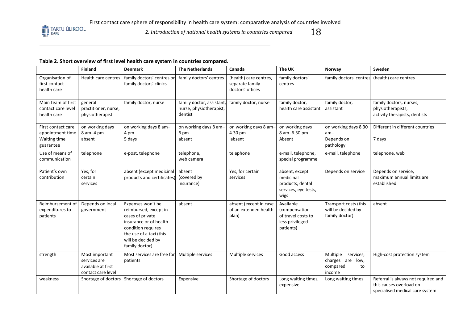

*2. Introduction of national health systems in countries compared*  $18$ 

## **Table 2. Short overview of first level health care system in countries compared.**

|                                                         | <b>Finland</b>                                                             | <b>Denmark</b>                                                                                                                                                                    | <b>The Netherlands</b>                                         | Canada                                                        | The UK                                                                           | Norway                                                                | Sweden                                                                                            |
|---------------------------------------------------------|----------------------------------------------------------------------------|-----------------------------------------------------------------------------------------------------------------------------------------------------------------------------------|----------------------------------------------------------------|---------------------------------------------------------------|----------------------------------------------------------------------------------|-----------------------------------------------------------------------|---------------------------------------------------------------------------------------------------|
| Organisation of<br>first contact<br>health care         | Health care centres                                                        | family doctors' centres or<br>family doctors' clinics                                                                                                                             | family doctors' centres                                        | (health) care centres,<br>separate family<br>doctors' offices | family doctors'<br>centres                                                       | family doctors' centres                                               | (health) care centres                                                                             |
| Main team of first<br>contact care level<br>health care | general<br>practitioner, nurse,<br>physiotherapist                         | family doctor, nurse                                                                                                                                                              | family doctor, assistant<br>nurse, physiotherapist,<br>dentist | family doctor, nurse                                          | family doctor,<br>health care assistant                                          | family doctor,<br>assistant                                           | family doctors, nurses,<br>physiotherapists,<br>activity therapists, dentists                     |
| First contact care<br>appointment time                  | on working days<br>$8$ am $-4$ pm                                          | on working days 8 am-<br>4 pm                                                                                                                                                     | on working days 8 am-<br>6 pm                                  | on working days 8 am-<br>4.30 pm                              | on working days<br>8 am-6.30 pm                                                  | on working days 8.30<br>$am -$                                        | Different in different countries                                                                  |
| Waiting time<br>guarantee                               | absent                                                                     | 5 days                                                                                                                                                                            | absent                                                         | absent                                                        | Absent                                                                           | Depends on<br>pathology                                               | 7 days                                                                                            |
| Use of means of<br>communication                        | telephone                                                                  | e-post, telephone                                                                                                                                                                 | telephone,<br>web camera                                       | telephone                                                     | e-mail, telephone,<br>special programme                                          | e-mail, telephone                                                     | telephone, web                                                                                    |
| Patient's own<br>contribution                           | Yes, for<br>certain<br>services                                            | absent (except medicinal<br>products and certificates)                                                                                                                            | absent<br>(covered by<br>insurance)                            | Yes, for certain<br>services                                  | absent, except<br>medicinal<br>products, dental<br>services, eye tests,<br>wigs  | Depends on service                                                    | Depends on service,<br>maximum annual limits are<br>established                                   |
| Reimbursement of<br>expenditures to<br>patients         | Depends on local<br>government                                             | Expenses won't be<br>reimbursed, except in<br>cases of private<br>insurance or of health<br>condition requires<br>the use of a taxi (this<br>will be decided by<br>family doctor) | absent                                                         | absent (except in case<br>of an extended health<br>plan)      | Available<br>(compensation<br>of travel costs to<br>less privileged<br>patients) | Transport costs (this<br>will be decided by<br>family doctor)         | absent                                                                                            |
| strength                                                | Most important<br>services are<br>available at first<br>contact care level | Most services are free for<br>patients                                                                                                                                            | Multiple services                                              | Multiple services                                             | Good access                                                                      | Multiple<br>services;<br>charges are low,<br>compared<br>to<br>income | High-cost protection system                                                                       |
| weakness                                                | Shortage of doctors                                                        | Shortage of doctors                                                                                                                                                               | Expensive                                                      | Shortage of doctors                                           | Long waiting times,<br>expensive                                                 | Long waiting times                                                    | Referral is always not required and<br>this causes overload on<br>specialised medical care system |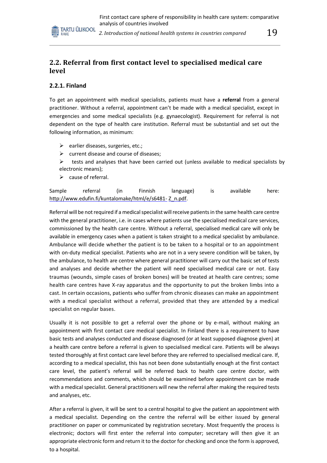

2. Introduction of national health systems in countries compared  $\hskip 10 pt 19$ 

# **2.2. Referral from first contact level to specialised medical care level**

## **2.2.1. Finland**

To get an appointment with medical specialists, patients must have a **referral** from a general practitioner. Without a referral, appointment can't be made with a medical specialist, except in emergencies and some medical specialists (e.g. gynaecologist). Requirement for referral is not dependent on the type of health care institution. Referral must be substantial and set out the following information, as minimum:

- $\triangleright$  earlier diseases, surgeries, etc.;
- $\triangleright$  current disease and course of diseases;
- $\triangleright$  tests and analyses that have been carried out (unless available to medical specialists by electronic means);
- $\triangleright$  cause of referral.

Sample referral (in Finnish language) is available here: [http://www.edufin.fi/kuntalomake/html/e/s6481-](http://www.edufin.fi/kuntalomake/html/e/s6481-Z_n.pdf) [Z\\_n.pdf.](http://www.edufin.fi/kuntalomake/html/e/s6481-Z_n.pdf)

Referral will be not required if a medical specialist will receive patients in the same health care centre with the general practitioner, i.e. in cases where patients use the specialised medical care services, commissioned by the health care centre. Without a referral, specialised medical care will only be available in emergency cases when a patient is taken straight to a medical specialist by ambulance. Ambulance will decide whether the patient is to be taken to a hospital or to an appointment with on-duty medical specialist. Patients who are not in a very severe condition will be taken, by the ambulance, to health are centre where general practitioner will carry out the basic set of tests and analyses and decide whether the patient will need specialised medical care or not. Easy traumas (wounds, simple cases of broken bones) will be treated at health care centres; some health care centres have X-ray apparatus and the opportunity to put the broken limbs into a cast. In certain occasions, patients who suffer from chronic diseases can make an appointment with a medical specialist without a referral, provided that they are attended by a medical specialist on regular bases.

Usually it is not possible to get a referral over the phone or by e-mail, without making an appointment with first contact care medical specialist. In Finland there is a requirement to have basic tests and analyses conducted and disease diagnosed (or at least supposed diagnose given) at a health care centre before a referral is given to specialised medical care. Patients will be always tested thoroughly at first contact care level before they are referred to specialised medical care. If, according to a medical specialist, this has not been done substantially enough at the first contact care level, the patient's referral will be referred back to health care centre doctor, with recommendations and comments, which should be examined before appointment can be made with a medical specialist. General practitioners will new the referral after making the required tests and analyses, etc.

After a referral is given, it will be sent to a central hospital to give the patient an appointment with a medical specialist. Depending on the centre the referral will be either issued by general practitioner on paper or communicated by registration secretary. Most frequently the process is electronic; doctors will first enter the referral into computer; secretary will then give it an appropriate electronic form and return it to the doctor for checking and once the form is approved, to a hospital.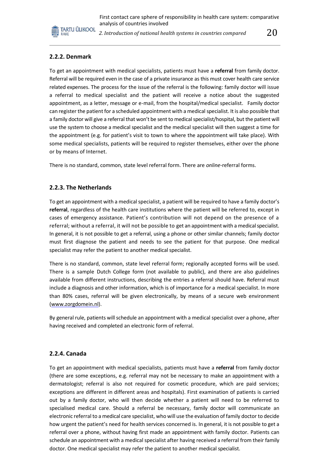

2. Introduction of national health systems in countries compared  $20\,$ 

## **2.2.2. Denmark**

To get an appointment with medical specialists, patients must have a **referral** from family doctor. Referral will be required even in the case of a private insurance as this must cover health care service related expenses. The process for the issue of the referral is the following: family doctor will issue a referral to medical specialist and the patient will receive a notice about the suggested appointment, as a letter, message or e-mail, from the hospital/medical specialist. Family doctor can register the patient for a scheduled appointment with a medical specialist. It is also possible that a family doctor will give a referral that won't be sent to medical specialist/hospital, but the patient will use the system to choose a medical specialist and the medical specialist will then suggest a time for the appointment (e.g. for patient's visit to town to where the appointment will take place). With some medical specialists, patients will be required to register themselves, either over the phone or by means of Internet.

There is no standard, common, state level referral form. There are *online*-referral forms.

#### **2.2.3. The Netherlands**

To get an appointment with a medical specialist, a patient will be required to have a family doctor's **referral**, regardless of the health care institutions where the patient will be referred to, except in cases of emergency assistance. Patient's contribution will not depend on the presence of a referral; without a referral, it will not be possible to get an appointment with a medical specialist. In general, it is not possible to get a referral, using a phone or other similar channels; family doctor must first diagnose the patient and needs to see the patient for that purpose. One medical specialist may refer the patient to another medical specialist.

There is no standard, common, state level referral form; regionally accepted forms will be used. There is a sample Dutch College form (not available to public), and there are also guidelines available from different instructions, describing the entries a referral should have. Referral must include a diagnosis and other information, which is of importance for a medical specialist. In more than 80% cases, referral will be given electronically, by means of a secure web environment [\(www.zorgdomein.nl\)](http://www.zorgdomein.nl/).

By general rule, patients will schedule an appointment with a medical specialist over a phone, after having received and completed an electronic form of referral.

#### **2.2.4. Canada**

To get an appointment with medical specialists, patients must have a **referral** from family doctor (there are some exceptions, e.g. referral may not be necessary to make an appointment with a dermatologist; referral is also not required for cosmetic procedure, which are paid services; exceptions are different in different areas and hospitals). First examination of patients is carried out by a family doctor, who will then decide whether a patient will need to be referred to specialised medical care. Should a referral be necessary, family doctor will communicate an electronic referral to a medical care specialist, who will use the evaluation of family doctor to decide how urgent the patient's need for health services concerned is. In general, it is not possible to get a referral over a phone, without having first made an appointment with family doctor. Patients can schedule an appointment with a medical specialist after having received a referral from their family doctor. One medical specialist may refer the patient to another medical specialist.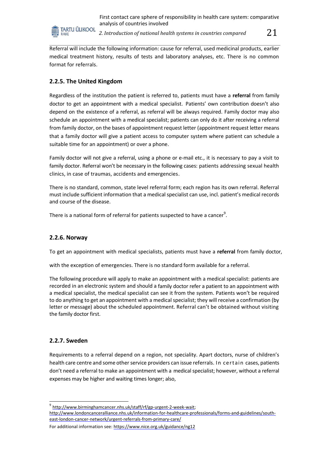

2. Introduction of national health systems in countries compared  $\quad\quad 21$ 

Referral will include the following information: cause for referral, used medicinal products, earlier medical treatment history, results of tests and laboratory analyses, etc. There is no common format for referrals.

# **2.2.5. The United Kingdom**

Regardless of the institution the patient is referred to, patients must have a **referral** from family doctor to get an appointment with a medical specialist. Patients' own contribution doesn't also depend on the existence of a referral, as referral will be always required. Family doctor may also schedule an appointment with a medical specialist; patients can only do it after receiving a referral from family doctor, on the bases of appointment request letter (appointment request letter means that a family doctor will give a patient access to computer system where patient can schedule a suitable time for an appointment) or over a phone.

Family doctor will not give a referral, using a phone or e-mail etc., it is necessary to pay a visit to family doctor. Referral won't be necessary in the following cases: patients addressing sexual health clinics, in case of traumas, accidents and emergencies.

There is no standard, common, state level referral form; each region has its own referral. Referral must include sufficient information that a medical specialist can use, incl. patient's medical records and course of the disease.

There is a national form of referral for patients suspected to have a cancer $^9$ .

#### **2.2.6. Norway**

To get an appointment with medical specialists, patients must have a **referral** from family doctor,

with the exception of emergencies. There is no standard form available for a referral.

The following procedure will apply to make an appointment with a medical specialist: patients are recorded in an electronic system and should a family doctor refer a patient to an appointment with a medical specialist, the medical specialist can see it from the system. Patients won't be required to do anything to get an appointment with a medical specialist; they will receive a confirmation (by letter or message) about the scheduled appointment. Referral can't be obtained without visiting the family doctor first.

#### **2.2.7. Sweden**

Requirements to a referral depend on a region, not speciality. Apart doctors, nurse of children's health care centre and some other service providers can issue referrals. In cer tain cases, patients don't need a referral to make an appointment with a medical specialist; however, without a referral expenses may be higher and waiting times longer; also,

<sup>9</sup> http://www.birminghamcancer.nhs.uk/staff/rf/gp-urgent-2-week-wait; [http://www.londoncanceralliance.nhs.uk/information-for-healthcare-professionals/forms-and-guidelines/south-](http://www.londoncanceralliance.nhs.uk/information-for-healthcare-professionals/forms-and-guidelines/south-east-london-cancer-network/urgent-referrals-from-primary-care/)

[east-london-cancer-network/urgent-referrals-from-primary-care/](http://www.londoncanceralliance.nhs.uk/information-for-healthcare-professionals/forms-and-guidelines/south-east-london-cancer-network/urgent-referrals-from-primary-care/)

For additional information see:<https://www.nice.org.uk/guidance/ng12>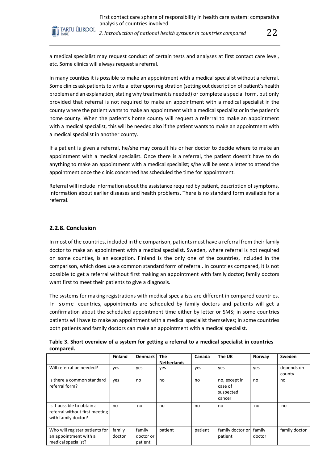

2. Introduction of national health systems in countries compared  $22\,$ 

a medical specialist may request conduct of certain tests and analyses at first contact care level, etc. Some clinics will always request a referral.

In many counties it is possible to make an appointment with a medical specialist without a referral. Some clinics ask patients to write a letter upon registration (setting out description of patient's health problem and an explanation, stating why treatment is needed) or complete a special form, but only provided that referral is not required to make an appointment with a medical specialist in the county where the patient wants to make an appointment with a medical specialist or in the patient's home county. When the patient's home county will request a referral to make an appointment with a medical specialist, this will be needed also if the patient wants to make an appointment with a medical specialist in another county.

If a patient is given a referral, he/she may consult his or her doctor to decide where to make an appointment with a medical specialist. Once there is a referral, the patient doesn't have to do anything to make an appointment with a medical specialist; s/he will be sent a letter to attend the appointment once the clinic concerned has scheduled the time for appointment.

Referral will include information about the assistance required by patient, description of symptoms, information about earlier diseases and health problems. There is no standard form available for a referral.

#### **2.2.8. Conclusion**

In most of the countries, included in the comparison, patients must have a referral from their family doctor to make an appointment with a medical specialist. Sweden, where referral is not required on some counties, is an exception. Finland is the only one of the countries, included in the comparison, which does use a common standard form of referral. In countries compared, it is not possible to get a referral without first making an appointment with family doctor; family doctors want first to meet their patients to give a diagnosis.

The systems for making registrations with medical specialists are different in compared countries. In some countries, appointments are scheduled by family doctors and patients will get a confirmation about the scheduled appointment time either by letter or SMS; in some countries patients will have to make an appointment with a medical specialist themselves; in some countries both patients and family doctors can make an appointment with a medical specialist.

|                                                                                     | <b>Finland</b>   | <b>Denmark</b>                 | <b>The</b><br><b>Netherlands</b> | Canada  | The UK                                          | Norway           | Sweden               |
|-------------------------------------------------------------------------------------|------------------|--------------------------------|----------------------------------|---------|-------------------------------------------------|------------------|----------------------|
| Will referral be needed?                                                            | yes              | yes                            | yes                              | yes     | yes                                             | yes              | depends on<br>county |
| Is there a common standard<br>referral form?                                        | yes              | no                             | no                               | no      | no, except in<br>case of<br>suspected<br>cancer | no               | no                   |
| Is it possible to obtain a<br>referral without first meeting<br>with family doctor? | no               | no                             | no                               | no      | no                                              | no               | no                   |
| Who will register patients for<br>an appointment with a<br>medical specialist?      | family<br>doctor | family<br>doctor or<br>patient | patient                          | patient | family doctor or<br>patient                     | family<br>doctor | family doctor        |

**Table 3. Short overview of a system for getting a referral to a medical specialist in countries compared.**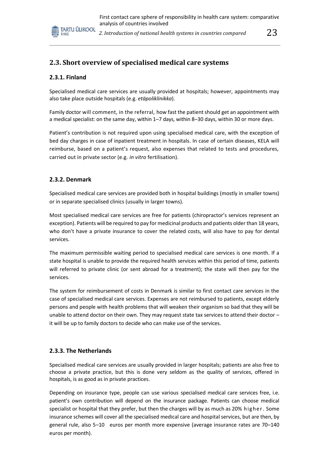

2. Introduction of national health systems in countries compared  $\qquad\qquad 23$ 

# **2.3. Short overview of specialised medical care systems**

#### **2.3.1. Finland**

Specialised medical care services are usually provided at hospitals; however, appointments may also take place outside hospitals (e.g. *etäpoliklinikka*).

Family doctor will comment, in the referral, how fast the patient should get an appointment with a medical specialist: on the same day, within 1–7 days, within 8–30 days, within 30 or more days.

Patient's contribution is not required upon using specialised medical care, with the exception of bed day charges in case of inpatient treatment in hospitals. In case of certain diseases, KELA will reimburse, based on a patient's request, also expenses that related to tests and procedures, carried out in private sector (e.g. *in vitro* fertilisation).

#### **2.3.2. Denmark**

Specialised medical care services are provided both in hospital buildings (mostly in smaller towns) or in separate specialised clinics (usually in larger towns).

Most specialised medical care services are free for patients (chiropractor's services represent an exception). Patients will be required to pay for medicinal products and patients older than 18 years, who don't have a private insurance to cover the related costs, will also have to pay for dental services.

The maximum permissible waiting period to specialised medical care services is one month. If a state hospital is unable to provide the required health services within this period of time, patients will referred to private clinic (or sent abroad for a treatment); the state will then pay for the services.

The system for reimbursement of costs in Denmark is similar to first contact care services in the case of specialised medical care services. Expenses are not reimbursed to patients, except elderly persons and people with health problems that will weaken their organism so bad that they will be unable to attend doctor on their own. They may request state tax services to attend their doctor – it will be up to family doctors to decide who can make use of the services.

#### **2.3.3. The Netherlands**

Specialised medical care services are usually provided in larger hospitals; patients are also free to choose a private practice, but this is done very seldom as the quality of services, offered in hospitals, is as good as in private practices.

Depending on insurance type, people can use various specialised medical care services free, i.e. patient's own contribution will depend on the insurance package. Patients can choose medical specialist or hospital that they prefer, but then the charges will by as much as 20% higher. Some insurance schemes will cover all the specialised medical care and hospital services, but are then, by general rule, also 5–10 euros per month more expensive (average insurance rates are 70–140 euros per month).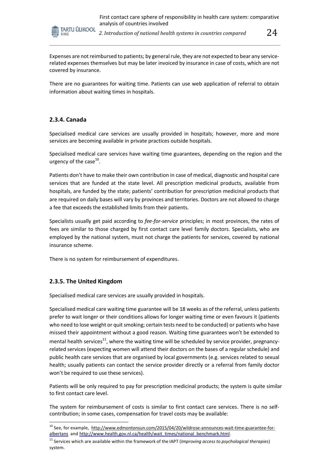

2. Introduction of national health systems in countries compared  $\begin{array}{c} 24 \end{array}$ 

Expenses are not reimbursed to patients; by general rule, they are not expected to bear any servicerelated expenses themselves but may be later invoiced by insurance in case of costs, which are not covered by insurance.

There are no guarantees for waiting time. Patients can use web application of referral to obtain information about waiting times in hospitals.

# **2.3.4. Canada**

Specialised medical care services are usually provided in hospitals; however, more and more services are becoming available in private practices outside hospitals.

Specialised medical care services have waiting time guarantees, depending on the region and the urgency of the case $^{10}$ .

Patients don't have to make their own contribution in case of medical, diagnostic and hospital care services that are funded at the state level. All prescription medicinal products, available from hospitals, are funded by the state; patients' contribution for prescription medicinal products that are required on daily bases will vary by provinces and territories. Doctors are not allowed to charge a fee that exceeds the established limits from their patients.

Specialists usually get paid according to *fee-for-service* principles; in most provinces, the rates of fees are similar to those charged by first contact care level family doctors. Specialists, who are employed by the national system, must not charge the patients for services, covered by national insurance scheme.

There is no system for reimbursement of expenditures.

# **2.3.5. The United Kingdom**

Specialised medical care services are usually provided in hospitals.

Specialised medical care waiting time guarantee will be 18 weeks as of the referral, unless patients prefer to wait longer or their conditions allows for longer waiting time or even favours it (patients who need to lose weight or quit smoking; certain tests need to be conducted) or patients who have missed their appointment without a good reason. Waiting time guarantees won't be extended to mental health services<sup>11</sup>, where the waiting time will be scheduled by service provider, pregnancyrelated services (expecting women will attend their doctors on the bases of a regular schedule) and public health care services that are organised by local governments (e.g. services related to sexual health; usually patients can contact the service provider directly or a referral from family doctor won't be required to use these services).

Patients will be only required to pay for prescription medicinal products; the system is quite similar to first contact care level.

The system for reimbursement of costs is similar to first contact care services. There is no selfcontribution; in some cases, compensation for travel costs may be available:

<sup>&</sup>lt;sup>10</sup> See, for example, [http://www.edmontonsun.com/2015/04/20/wildrose-announces-wait-time-guarantee-for](http://www.edmontonsun.com/2015/04/20/wildrose-announces-wait-time-guarantee-for-albertans)[albertans a](http://www.edmontonsun.com/2015/04/20/wildrose-announces-wait-time-guarantee-for-albertans)nd [http://www.health.gov.nl.ca/health/wait\\_times/national\\_benchmark.html.](http://www.health.gov.nl.ca/health/wait_times/national_benchmark.html)

<sup>11</sup> Services which are available within the framework of the IAPT (*Improving access to psychological therapies*) system.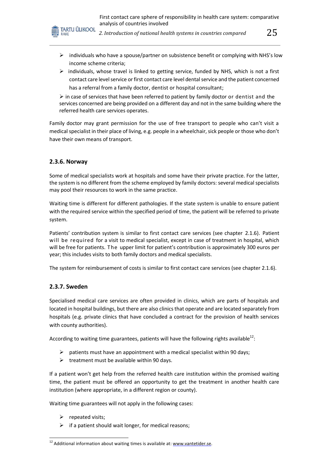

2. Introduction of national health systems in countries compared  $\quad \quad \ \ \text{25}$ 

- $\triangleright$  individuals who have a spouse/partner on subsistence benefit or complying with NHS's low income scheme criteria;
- $\triangleright$  individuals, whose travel is linked to getting service, funded by NHS, which is not a first contact care level service or first contact care level dental service and the patient concerned has a referral from a family doctor, dentist or hospital consultant;

 $\triangleright$  in case of services that have been referred to patient by family doctor or dentist and the services concerned are being provided on a different day and not in the same building where the referred health care services operates.

Family doctor may grant permission for the use of free transport to people who can't visit a medical specialist in their place of living, e.g. people in a wheelchair, sick people or those who don't have their own means of transport.

#### **2.3.6. Norway**

Some of medical specialists work at hospitals and some have their private practice. For the latter, the system is no different from the scheme employed by family doctors: several medical specialists may pool their resources to work in the same practice.

Waiting time is different for different pathologies. If the state system is unable to ensure patient with the required service within the specified period of time, the patient will be referred to private system.

Patients' contribution system is similar to first contact care services (see chapter 2.1.6). Patient will be required for a visit to medical specialist, except in case of treatment in hospital, which will be free for patients. The upper limit for patient's contribution is approximately 300 euros per year; this includes visits to both family doctors and medical specialists.

The system for reimbursement of costs is similar to first contact care services (see chapter 2.1.6).

#### **2.3.7. Sweden**

Specialised medical care services are often provided in clinics, which are parts of hospitals and located in hospital buildings, but there are also clinics that operate and are located separately from hospitals (e.g. private clinics that have concluded a contract for the provision of health services with county authorities).

According to waiting time guarantees, patients will have the following rights available<sup>12</sup>:

- $\triangleright$  patients must have an appointment with a medical specialist within 90 days;
- $\triangleright$  treatment must be available within 90 days.

If a patient won't get help from the referred health care institution within the promised waiting time, the patient must be offered an opportunity to get the treatment in another health care institution (where appropriate, in a different region or county).

Waiting time guarantees will not apply in the following cases:

- $\triangleright$  repeated visits;
- $\triangleright$  if a patient should wait longer, for medical reasons;

 $^{12}$  Additional information about waiting times is available at: [www.vantetider.se.](http://www.vantetider.se/)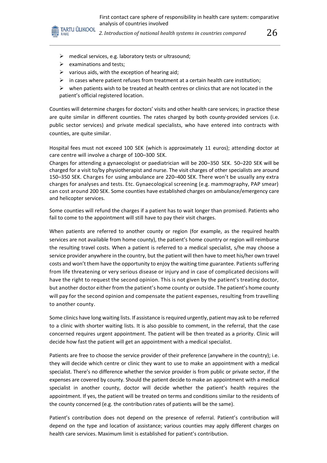

2. Introduction of national health systems in countries compared  $26\,$ 

- $\triangleright$  medical services, e.g. laboratory tests or ultrasound;
- $\triangleright$  examinations and tests;
- $\triangleright$  various aids, with the exception of hearing aid;
- $\triangleright$  in cases where patient refuses from treatment at a certain health care institution;

 $\triangleright$  when patients wish to be treated at health centres or clinics that are not located in the patient's official registered location.

Counties will determine charges for doctors' visits and other health care services; in practice these are quite similar in different counties. The rates charged by both county-provided services (i.e. public sector services) and private medical specialists, who have entered into contracts with counties, are quite similar.

Hospital fees must not exceed 100 SEK (which is approximately 11 euros); attending doctor at care centre will involve a charge of 100–300 SEK.

Charges for attending a gynaecologist or paediatrician will be 200–350 SEK. 50–220 SEK will be charged for a visit to/by physiotherapist and nurse. The visit charges of other specialists are around 150–350 SEK. Charges for using ambulance are 220–400 SEK. There won't be usually any extra charges for analyses and tests. Etc. Gynaecological screening (e.g. mammography, PAP smear) can cost around 200 SEK. Some counties have established charges on ambulance/emergency care and helicopter services.

Some counties will refund the charges if a patient has to wait longer than promised. Patients who fail to come to the appointment will still have to pay their visit charges.

When patients are referred to another county or region (for example, as the required health services are not available from home county), the patient's home country or region will reimburse the resulting travel costs. When a patient is referred to a medical specialist, s/he may choose a service provider anywhere in the country, but the patient will then have to meet his/her own travel costs and won't them have the opportunity to enjoy the waiting time guarantee. Patients suffering from life threatening or very serious disease or injury and in case of complicated decisions will have the right to request the second opinion. This is not given by the patient's treating doctor, but another doctor either from the patient's home county or outside. The patient's home county will pay for the second opinion and compensate the patient expenses, resulting from travelling to another county.

Some clinics have long waiting lists. If assistance is required urgently, patient may ask to be referred to a clinic with shorter waiting lists. It is also possible to comment, in the referral, that the case concerned requires urgent appointment. The patient will be then treated as a priority. Clinic will decide how fast the patient will get an appointment with a medical specialist.

Patients are free to choose the service provider of their preference (anywhere in the country); i.e. they will decide which centre or clinic they want to use to make an appointment with a medical specialist. There's no difference whether the service provider is from public or private sector, if the expenses are covered by county. Should the patient decide to make an appointment with a medical specialist in another county, doctor will decide whether the patient's health requires the appointment. If yes, the patient will be treated on terms and conditions similar to the residents of the county concerned (e.g. the contribution rates of patients will be the same).

Patient's contribution does not depend on the presence of referral. Patient's contribution will depend on the type and location of assistance; various counties may apply different charges on health care services. Maximum limit is established for patient's contribution.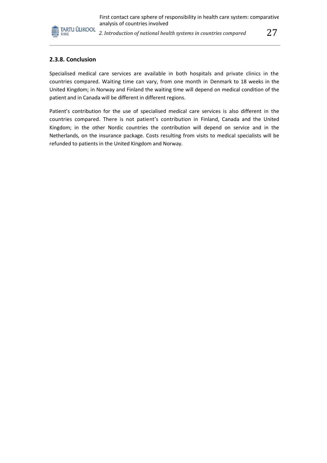

2. Introduction of national health systems in countries compared  $27\,$ 

#### **2.3.8. Conclusion**

Specialised medical care services are available in both hospitals and private clinics in the countries compared. Waiting time can vary, from one month in Denmark to 18 weeks in the United Kingdom; in Norway and Finland the waiting time will depend on medical condition of the patient and in Canada will be different in different regions.

Patient's contribution for the use of specialised medical care services is also different in the countries compared. There is not patient's contribution in Finland, Canada and the United Kingdom; in the other Nordic countries the contribution will depend on service and in the Netherlands, on the insurance package. Costs resulting from visits to medical specialists will be refunded to patients in the United Kingdom and Norway.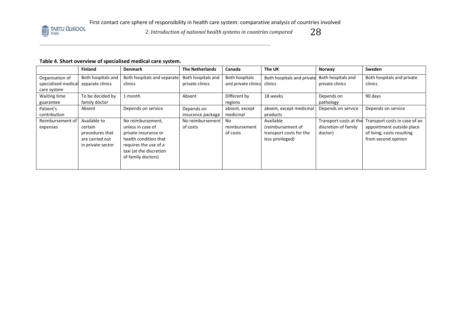

*2. Introduction of national health systems in countries compared*  $28$ 

## **Table 4. Short overview of specialised medical care system.**

|                     | <b>Finland</b>     | <b>Denmark</b>              | <b>The Netherlands</b> | Canada              | The UK                     | Norway                 | <b>Sweden</b>                 |
|---------------------|--------------------|-----------------------------|------------------------|---------------------|----------------------------|------------------------|-------------------------------|
| Organisation of     | Both hospitals and | Both hospitals and separate | Both hospitals and     | Both hospitals      | Both hospitals and private | Both hospitals and     | Both hospitals and private    |
| specialised medical | separate clinics   | clinics                     | private clinics        | and private clinics | clinics                    | private clinics        | clinics                       |
| care system         |                    |                             |                        |                     |                            |                        |                               |
| Waiting time        | To be decided by   | 1 month                     | Absent                 | Different by        | 18 weeks                   | Depends on             | 90 days                       |
| guarantee           | family doctor      |                             |                        | regions             |                            | pathology              |                               |
| Patient's           | Absent             | Depends on service          | Depends on             | absent, except      | absent, except medicinal   | Depends on service     | Depends on service            |
| contribution        |                    |                             | insurance package      | medicinal           | products                   |                        |                               |
| Reimbursement of    | Available to       | No reimbursement,           | No reimbursement       | No                  | Available                  | Transport costs at the | Transport costs in case of an |
| expenses            | certain            | unless in case of           | of costs               | reimbursement       | (reimbursement of          | discretion of family   | appointment outside place     |
|                     | procedures that    | private insurance or        |                        | of costs            | transport costs for the    | doctor)                | of living; costs resulting    |
|                     | are carried out    | health condition that       |                        |                     | less privileged)           |                        | from second opinion           |
|                     | in private sector  | requires the use of a       |                        |                     |                            |                        |                               |
|                     |                    | taxi (at the discretion     |                        |                     |                            |                        |                               |
|                     |                    | of family doctors)          |                        |                     |                            |                        |                               |
|                     |                    |                             |                        |                     |                            |                        |                               |
|                     |                    |                             |                        |                     |                            |                        |                               |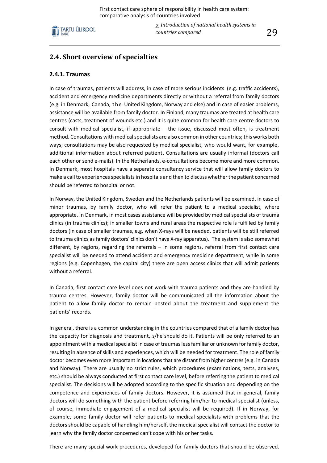

*2. Introduction of national health systems in countries compared* 29

# **2.4. Short overview of specialties**

#### **2.4.1. Traumas**

In case of traumas, patients will address, in case of more serious incidents (e.g. traffic accidents), accident and emergency medicine departments directly or without a referral from family doctors (e.g. in Denmark, Canada, t he United Kingdom, Norway and else) and in case of easier problems, assistance will be available from family doctor. In Finland, many traumas are treated at health care centres (casts, treatment of wounds etc.) and it is quite common for health care centre doctors to consult with medical specialist, if appropriate – the issue, discussed most often, is treatment method. Consultations with medical specialists are also common in other countries; this works both ways; consultations may be also requested by medical specialist, who would want, for example, additional information about referred patient. Consultations are usually informal (doctors call each other or send e-mails). In the Netherlands, e-consultations become more and more common. In Denmark, most hospitals have a separate consultancy service that will allow family doctors to make a call to experiences specialists in hospitals and then to discuss whether the patient concerned should be referred to hospital or not.

In Norway, the United Kingdom, Sweden and the Netherlands patients will be examined, in case of minor traumas, by family doctor, who will refer the patient to a medical specialist, where appropriate. In Denmark, in most cases assistance will be provided by medical specialists of trauma clinics (in trauma clinics); in smaller towns and rural areas the respective role is fulfilled by family doctors (in case of smaller traumas, e.g. when X-rays will be needed, patients will be still referred to trauma clinics as family doctors' clinics don't have X-ray apparatus). The system is also somewhat different, by regions, regarding the referrals – in some regions, referral from first contact care specialist will be needed to attend accident and emergency medicine department, while in some regions (e.g. Copenhagen, the capital city) there are open access clinics that will admit patients without a referral.

In Canada, first contact care level does not work with trauma patients and they are handled by trauma centres. However, family doctor will be communicated all the information about the patient to allow family doctor to remain posted about the treatment and supplement the patients' records.

In general, there is a common understanding in the countries compared that of a family doctor has the capacity for diagnosis and treatment, s/he should do it. Patients will be only referred to an appointment with a medical specialist in case of traumas less familiar or unknown for family doctor, resulting in absence of skills and experiences, which will be needed for treatment. The role of family doctor becomes even more important in locations that are distant from higher centres (e.g. in Canada and Norway). There are usually no strict rules, which procedures (examinations, tests, analyses, etc.) should be always conducted at first contact care level, before referring the patient to medical specialist. The decisions will be adopted according to the specific situation and depending on the competence and experiences of family doctors. However, it is assumed that in general, family doctors will do something with the patient before referring him/her to medical specialist (unless, of course, immediate engagement of a medical specialist will be required). If in Norway, for example, some family doctor will refer patients to medical specialists with problems that the doctors should be capable of handling him/herself, the medical specialist will contact the doctor to learn why the family doctor concerned can't cope with his or her tasks.

There are many special work procedures, developed for family doctors that should be observed.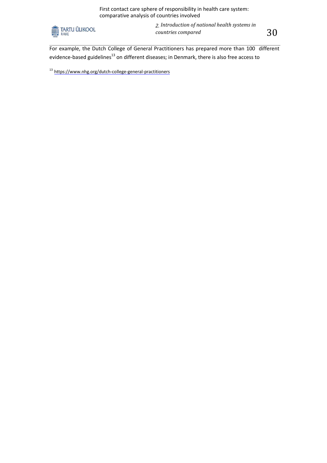

*2. Introduction of national health systems in countries compared* 30

For example, the Dutch College of General Practitioners has prepared more than 100 different evidence-based guidelines<sup>13</sup> on different diseases; in Denmark, there is also free access to

<sup>13</sup> https://www.nhg.org/dutch-college-general-practitioners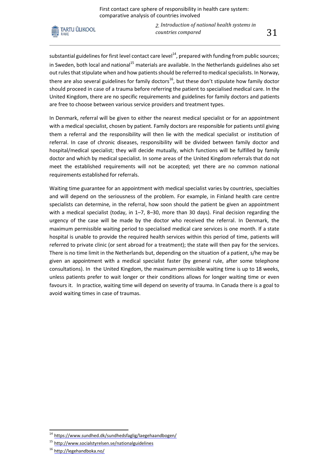

*2. Introduction of national health systems in countries compared* 31

substantial guidelines for first level contact care level $^{14}$ , prepared with funding from public sources; in Sweden, both local and national<sup>15</sup> materials are available. In the Netherlands guidelines also set out rules that stipulate when and how patients should be referred to medical specialists. In Norway, there are also several guidelines for family doctors<sup>16</sup>, but these don't stipulate how family doctor should proceed in case of a trauma before referring the patient to specialised medical care. In the United Kingdom, there are no specific requirements and guidelines for family doctors and patients are free to choose between various service providers and treatment types.

In Denmark, referral will be given to either the nearest medical specialist or for an appointment with a medical specialist, chosen by patient. Family doctors are responsible for patients until giving them a referral and the responsibility will then lie with the medical specialist or institution of referral. In case of chronic diseases, responsibility will be divided between family doctor and hospital/medical specialist; they will decide mutually, which functions will be fulfilled by family doctor and which by medical specialist. In some areas of the United Kingdom referrals that do not meet the established requirements will not be accepted; yet there are no common national requirements established for referrals.

Waiting time guarantee for an appointment with medical specialist varies by countries, specialties and will depend on the seriousness of the problem. For example, in Finland health care centre specialists can determine, in the referral, how soon should the patient be given an appointment with a medical specialist (today, in 1–7, 8–30, more than 30 days). Final decision regarding the urgency of the case will be made by the doctor who received the referral. In Denmark, the maximum permissible waiting period to specialised medical care services is one month. If a state hospital is unable to provide the required health services within this period of time, patients will referred to private clinic (or sent abroad for a treatment); the state will then pay for the services. There is no time limit in the Netherlands but, depending on the situation of a patient, s/he may be given an appointment with a medical specialist faster (by general rule, after some telephone consultations). In the United Kingdom, the maximum permissible waiting time is up to 18 weeks, unless patients prefer to wait longer or their conditions allows for longer waiting time or even favours it. In practice, waiting time will depend on severity of trauma. In Canada there is a goal to avoid waiting times in case of traumas.

<sup>&</sup>lt;sup>14</sup> <https://www.sundhed.dk/sundhedsfaglig/laegehaandbogen/>

<sup>&</sup>lt;sup>15</sup> <http://www.socialstyrelsen.se/nationalguidelines>

<sup>&</sup>lt;sup>16</sup> <http://legehandboka.no/>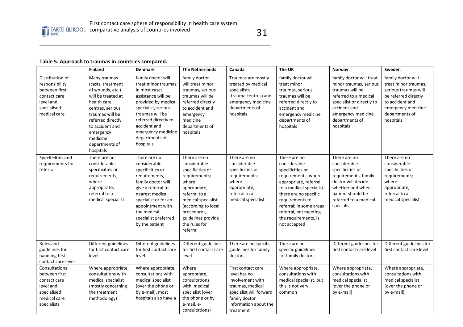

#### **Table 5. Approach to traumas in countries compared.**

|                                                                                                                | <b>Finland</b>                                                                                                                                                                                                                    | <b>Denmark</b>                                                                                                                                                                                                                                  | <b>The Netherlands</b>                                                                                                                                                                                                     | Canada                                                                                                                                                       | The UK                                                                                                                                                                                                                                                               | Norway                                                                                                                                                                                           | Sweden                                                                                                                                                             |
|----------------------------------------------------------------------------------------------------------------|-----------------------------------------------------------------------------------------------------------------------------------------------------------------------------------------------------------------------------------|-------------------------------------------------------------------------------------------------------------------------------------------------------------------------------------------------------------------------------------------------|----------------------------------------------------------------------------------------------------------------------------------------------------------------------------------------------------------------------------|--------------------------------------------------------------------------------------------------------------------------------------------------------------|----------------------------------------------------------------------------------------------------------------------------------------------------------------------------------------------------------------------------------------------------------------------|--------------------------------------------------------------------------------------------------------------------------------------------------------------------------------------------------|--------------------------------------------------------------------------------------------------------------------------------------------------------------------|
| Distribution of<br>responsibility<br>between first<br>contact care<br>level and<br>specialised<br>medical care | Many traumas<br>(casts, treatment<br>of wounds, etc.)<br>will be treated at<br>health care<br>centres, serious<br>traumas will be<br>referred directly<br>to accident and<br>emergency<br>medicine<br>departments of<br>hospitals | family doctor will<br>treat minor traumas;<br>in most cases<br>assistance will be<br>provided by medical<br>specialist, serious<br>traumas will be<br>referred directly to<br>accident and<br>emergency medicine<br>departments of<br>hospitals | family doctor<br>will treat minor<br>traumas, serious<br>traumas will be<br>referred directly<br>to accident and<br>emergency<br>medicine<br>departments of<br>hospitals                                                   | Traumas are mostly<br>treated by medical<br>specialists<br>(trauma centres) and<br>emergency medicine<br>departments of<br>hospitals                         | family doctor will<br>treat minor<br>traumas, serious<br>traumas will be<br>referred directly to<br>accident and<br>emergency medicine<br>departments of<br>hospitals                                                                                                | family doctor will treat<br>minor traumas, serious<br>traumas will be<br>referred to a medical<br>specialist or directly to<br>accident and<br>emergency medicine<br>departments of<br>hospitals | family doctor will<br>treat minor traumas,<br>serious traumas will<br>be referred directly<br>to accident and<br>emergency medicine<br>departments of<br>hospitals |
| Specificities and<br>requirements for<br>referral                                                              | There are no<br>considerable<br>specificities or<br>requirements;<br>where<br>appropriate,<br>referral to a<br>medical specialist                                                                                                 | There are no<br>considerable<br>specificities or<br>requirements,<br>family doctor will<br>give a referral to<br>nearest medical<br>specialist or for an<br>appointment with<br>the medical<br>specialist preferred<br>by the patient           | There are no<br>considerable<br>specificities or<br>requirements;<br>where<br>appropriate,<br>referral to a<br>medical specialist<br>(according to local<br>procedure),<br>guidelines provide<br>the rules for<br>referral | There are no<br>considerable<br>specificities or<br>requirements;<br>where<br>appropriate,<br>referral to a<br>medical specialist                            | There are no<br>considerable<br>specificities or<br>requirements; where<br>appropriate, referral<br>to a medical specialist;<br>there are no specific<br>requirements to<br>referral; in some areas<br>referral, not meeting<br>the requirements, is<br>not accepted | There are no<br>considerable<br>specificities or<br>requirements, family<br>doctor will decide<br>whether and when<br>patient should be<br>referred to a medical<br>specialist                   | There are no<br>considerable<br>specificities or<br>requirements;<br>where<br>appropriate,<br>referral to a<br>medical specialist                                  |
| Rules and<br>guidelines for<br>handling first<br>contact care level                                            | Different guidelines<br>for first contact care<br>level                                                                                                                                                                           | Different guidelines<br>for first contact care<br>level                                                                                                                                                                                         | Different guidelines<br>for first contact care<br>level                                                                                                                                                                    | There are no specific<br>guidelines for family<br>doctors                                                                                                    | There are no<br>specific guidelines<br>for family doctors                                                                                                                                                                                                            | Different guidelines for<br>first contact care level                                                                                                                                             | Different guidelines for<br>first contact care level                                                                                                               |
| Consultations<br>between first<br>contact care<br>level and<br>specialised<br>medical care<br>specialists      | Where appropriate,<br>consultations with<br>medical specialist<br>(mostly concerning<br>the treatment<br>methodology)                                                                                                             | Where appropriate,<br>consultations with<br>medical specialist<br>(over the phone or<br>by e-mail), most<br>hospitals also have a                                                                                                               | Where<br>appropriate,<br>consultations<br>with medical<br>specialist (over<br>the phone or by<br>e-mail, e-<br>consultations)                                                                                              | First contact care<br>level has no<br>involvement with<br>traumas, medical<br>specialist will forward<br>family doctor<br>information about the<br>treatment | Where appropriate,<br>consultations with<br>medical specialist, but<br>this is not very<br>common                                                                                                                                                                    | Where appropriate,<br>consultations with<br>medical specialist<br>(over the phone or<br>by e-mail)                                                                                               | Where appropriate,<br>consultations with<br>medical specialist<br>(over the phone or<br>by e-mail)                                                                 |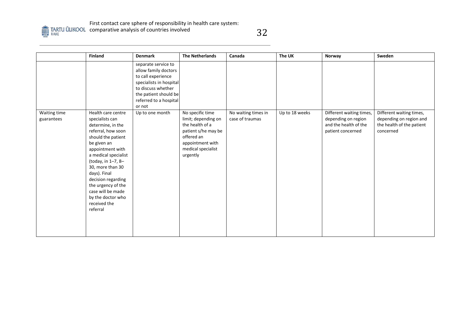

comparative analysis of countries involved

|                            | <b>Finland</b>                                                                                                                                                                                                                                                                                                                                | <b>Denmark</b>                                                                                                                                                                  | <b>The Netherlands</b>                                                                                                                                | Canada                                 | The UK         | Norway                                                                                        | Sweden                                                                                        |
|----------------------------|-----------------------------------------------------------------------------------------------------------------------------------------------------------------------------------------------------------------------------------------------------------------------------------------------------------------------------------------------|---------------------------------------------------------------------------------------------------------------------------------------------------------------------------------|-------------------------------------------------------------------------------------------------------------------------------------------------------|----------------------------------------|----------------|-----------------------------------------------------------------------------------------------|-----------------------------------------------------------------------------------------------|
|                            |                                                                                                                                                                                                                                                                                                                                               | separate service to<br>allow family doctors<br>to call experience<br>specialists in hospital<br>to discuss whether<br>the patient should be<br>referred to a hospital<br>or not |                                                                                                                                                       |                                        |                |                                                                                               |                                                                                               |
| Waiting time<br>guarantees | Health care centre<br>specialists can<br>determine, in the<br>referral, how soon<br>should the patient<br>be given an<br>appointment with<br>a medical specialist<br>(today, in 1-7, 8-<br>30, more than 30<br>days). Final<br>decision regarding<br>the urgency of the<br>case will be made<br>by the doctor who<br>received the<br>referral | Up to one month                                                                                                                                                                 | No specific time<br>limit; depending on<br>the health of a<br>patient s/he may be<br>offered an<br>appointment with<br>medical specialist<br>urgently | No waiting times in<br>case of traumas | Up to 18 weeks | Different waiting times,<br>depending on region<br>and the health of the<br>patient concerned | Different waiting times,<br>depending on region and<br>the health of the patient<br>concerned |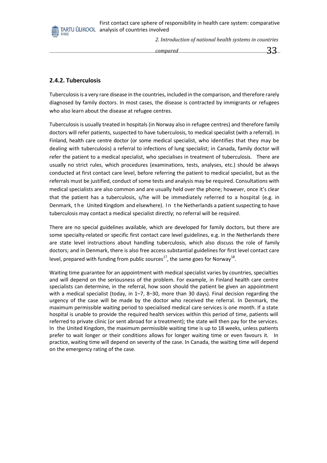*2. Introduction of national health systems in countries* 



**2.4.2. Tuberculosis**

Tuberculosisis a very rare disease in the countries, included in the comparison, and therefore rarely diagnosed by family doctors. In most cases, the disease is contracted by immigrants or refugees who also learn about the disease at refugee centres.

Tuberculosis is usually treated in hospitals (in Norway also in refugee centres) and therefore family doctors will refer patients, suspected to have tuberculosis, to medical specialist (with a referral). In Finland, health care centre doctor (or some medical specialist, who identifies that they may be dealing with tuberculosis) a referral to infections of lung specialist; in Canada, family doctor will refer the patient to a medical specialist, who specialises in treatment of tuberculosis. There are usually no strict rules, which procedures (examinations, tests, analyses, etc.) should be always conducted at first contact care level, before referring the patient to medical specialist, but as the referrals must be justified, conduct of some tests and analysis may be required. Consultations with medical specialists are also common and are usually held over the phone; however, once it's clear that the patient has a tuberculosis, s/he will be immediately referred to a hospital (e.g. in Denmark, the United Kingdom and elsewhere). In the Netherlands a patient suspecting to have tuberculosis may contact a medical specialist directly; no referral will be required.

There are no special guidelines available, which are developed for family doctors, but there are some specialty-related or specific first contact care level guidelines, e.g. in the Netherlands there are state level instructions about handling tuberculosis, which also discuss the role of family doctors; and in Denmark, there is also free access substantial guidelines for first level contact care level, prepared with funding from public sources<sup>17</sup>, the same goes for Norway<sup>18</sup>.

Waiting time guarantee for an appointment with medical specialist varies by countries, specialties and will depend on the seriousness of the problem. For example, in Finland health care centre specialists can determine, in the referral, how soon should the patient be given an appointment with a medical specialist (today, in 1–7, 8–30, more than 30 days). Final decision regarding the urgency of the case will be made by the doctor who received the referral. In Denmark, the maximum permissible waiting period to specialised medical care services is one month. If a state hospital is unable to provide the required health services within this period of time, patients will referred to private clinic (or sent abroad for a treatment); the state will then pay for the services. In the United Kingdom, the maximum permissible waiting time is up to 18 weeks, unless patients prefer to wait longer or their conditions allows for longer waiting time or even favours it. In practice, waiting time will depend on severity of the case. In Canada, the waiting time will depend on the emergency rating of the case.

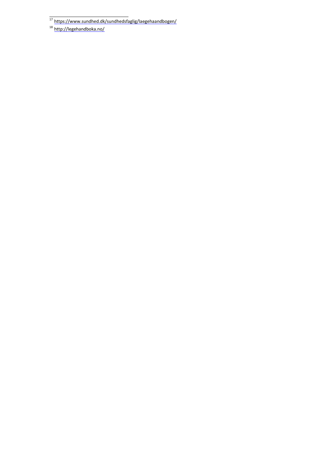<sup>18</sup> <http://legehandboka.no/>

<sup>&</sup>lt;sup>17</sup> <https://www.sundhed.dk/sundhedsfaglig/laegehaandbogen/>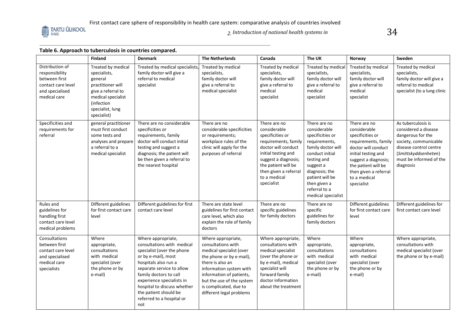

*2. Introduction of national health systems in* 

# **Table 6. Approach to tuberculosis in countries compared.**

|                                                                                                             | <b>Finland</b>                                                                                                                                                  | <b>Denmark</b>                                                                                                                                                                                                                                                                                                | <b>The Netherlands</b>                                                                                                                                                                                                                                         | Canada                                                                                                                                                                                                                       | The UK                                                                                                                                                                                                                             | Norway                                                                                                                                                                                                                       | Sweden                                                                                                                                                                             |
|-------------------------------------------------------------------------------------------------------------|-----------------------------------------------------------------------------------------------------------------------------------------------------------------|---------------------------------------------------------------------------------------------------------------------------------------------------------------------------------------------------------------------------------------------------------------------------------------------------------------|----------------------------------------------------------------------------------------------------------------------------------------------------------------------------------------------------------------------------------------------------------------|------------------------------------------------------------------------------------------------------------------------------------------------------------------------------------------------------------------------------|------------------------------------------------------------------------------------------------------------------------------------------------------------------------------------------------------------------------------------|------------------------------------------------------------------------------------------------------------------------------------------------------------------------------------------------------------------------------|------------------------------------------------------------------------------------------------------------------------------------------------------------------------------------|
| Distribution of<br>responsibility<br>between first<br>contact care level<br>and specialised<br>medical care | Treated by medical<br>specialists,<br>general<br>practitioner will<br>give a referral to<br>medical specialist<br>(infection<br>specialist, lung<br>specialist) | Treated by medical specialists<br>family doctor will give a<br>referral to medical<br>specialist                                                                                                                                                                                                              | Treated by medical<br>specialists,<br>family doctor will<br>give a referral to<br>medical specialist                                                                                                                                                           | Treated by medical<br>specialists,<br>family doctor will<br>give a referral to<br>medical<br>specialist                                                                                                                      | Treated by medical<br>specialists,<br>family doctor will<br>give a referral to<br>medical<br>specialist                                                                                                                            | Treated by medical<br>specialists,<br>family doctor will<br>give a referral to<br>medical<br>specialist                                                                                                                      | Treated by medical<br>specialists,<br>family doctor will give a<br>referral to medical<br>specialist (to a lung clinic                                                             |
| Specificities and<br>requirements for<br>referral                                                           | general practitioner<br>must first conduct<br>some tests and<br>analyses and prepare<br>a referral to a<br>medical specialist                                   | There are no considerable<br>specificities or<br>requirements, family<br>doctor will conduct initial<br>testing and suggest a<br>diagnosis; the patient will<br>be then given a referral to<br>the nearest hospital                                                                                           | There are no<br>considerable specificities<br>or requirements;<br>workplace rules of the<br>clinic will apply for the<br>purposes of referral                                                                                                                  | There are no<br>considerable<br>specificities or<br>requirements, family<br>doctor will conduct<br>initial testing and<br>suggest a diagnosis;<br>the patient will be<br>then given a referral<br>to a medical<br>specialist | There are no<br>considerable<br>specificities or<br>requirements,<br>family doctor will<br>conduct initial<br>testing and<br>suggest a<br>diagnosis; the<br>patient will be<br>then given a<br>referral to a<br>medical specialist | There are no<br>considerable<br>specificities or<br>requirements, family<br>doctor will conduct<br>initial testing and<br>suggest a diagnosis;<br>the patient will be<br>then given a referral<br>to a medical<br>specialist | As tuberculosis is<br>considered a disease<br>dangerous for the<br>society, communicable<br>disease control centre<br>(Smittskyddsenheten)<br>must be informed of the<br>diagnosis |
| Rules and<br>guidelines for<br>handling first<br>contact care level<br>medical problems                     | Different guidelines<br>for first contact care<br>level                                                                                                         | Different guidelines for first<br>contact care level                                                                                                                                                                                                                                                          | There are state level<br>guidelines for first contact<br>care level, which also<br>explain the role of family<br>doctors                                                                                                                                       | There are no<br>specific guidelines<br>for family doctors                                                                                                                                                                    | There are no<br>specific<br>guidelines for<br>family doctors                                                                                                                                                                       | Different guidelines<br>for first contact care<br>level                                                                                                                                                                      | Different guidelines for<br>first contact care level                                                                                                                               |
| Consultations<br>between first<br>contact care level<br>and specialised<br>medical care<br>specialists      | Where<br>appropriate,<br>consultations<br>with medical<br>specialist (over<br>the phone or by<br>e-mail)                                                        | Where appropriate,<br>consultations with medical<br>specialist (over the phone<br>or by e-mail), most<br>hospitals also run a<br>separate service to allow<br>family doctors to call<br>experience specialists in<br>hospital to discuss whether<br>the patient should be<br>referred to a hospital or<br>not | Where appropriate,<br>consultations with<br>medical specialist (over<br>the phone or by e-mail),<br>there is also an<br>information system with<br>information of patients,<br>but the use of the system<br>is complicated, due to<br>different legal problems | Where appropriate,<br>consultations with<br>medical specialist<br>(over the phone or<br>by e-mail), medical<br>specialist will<br>forward family<br>doctor information<br>about the treatment                                | Where<br>appropriate,<br>consultations<br>with medical<br>specialist (over<br>the phone or by<br>e-mail)                                                                                                                           | Where<br>appropriate,<br>consultations<br>with medical<br>specialist (over<br>the phone or by<br>e-mail)                                                                                                                     | Where appropriate,<br>consultations with<br>medical specialist (over<br>the phone or by e-mail)                                                                                    |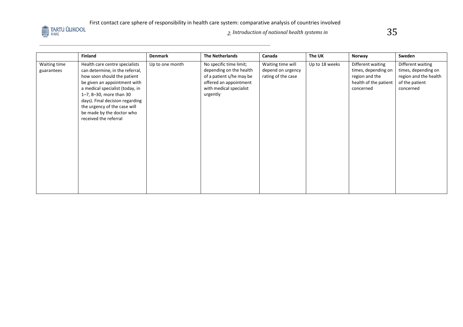

*2. Introduction of national health systems in* 

35

|                            | <b>Finland</b>                                                                                                                                                                                                                                                                                                          | <b>Denmark</b>  | <b>The Netherlands</b>                                                                                                                          | Canada                                                       | The UK         | Norway                                                                                           | Sweden                                                                                           |
|----------------------------|-------------------------------------------------------------------------------------------------------------------------------------------------------------------------------------------------------------------------------------------------------------------------------------------------------------------------|-----------------|-------------------------------------------------------------------------------------------------------------------------------------------------|--------------------------------------------------------------|----------------|--------------------------------------------------------------------------------------------------|--------------------------------------------------------------------------------------------------|
| Waiting time<br>guarantees | Health care centre specialists<br>can determine, in the referral,<br>how soon should the patient<br>be given an appointment with<br>a medical specialist (today, in<br>1-7, 8-30, more than 30<br>days). Final decision regarding<br>the urgency of the case will<br>be made by the doctor who<br>received the referral | Up to one month | No specific time limit;<br>depending on the health<br>of a patient s/he may be<br>offered an appointment<br>with medical specialist<br>urgently | Waiting time will<br>depend on urgency<br>rating of the case | Up to 18 weeks | Different waiting<br>times, depending on<br>region and the<br>health of the patient<br>concerned | Different waiting<br>times, depending on<br>region and the health<br>of the patient<br>concerned |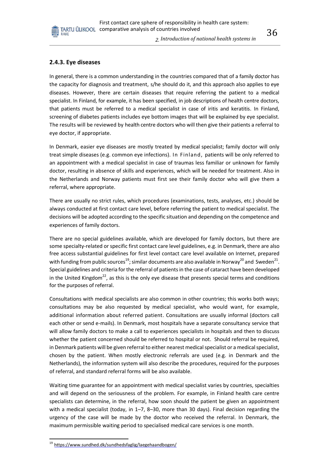#### **2.4.3. Eye diseases**

RAKE

In general, there is a common understanding in the countries compared that of a family doctor has the capacity for diagnosis and treatment, s/he should do it, and this approach also applies to eye diseases. However, there are certain diseases that require referring the patient to a medical specialist. In Finland, for example, it has been specified, in job descriptions of health centre doctors, that patients must be referred to a medical specialist in case of iritis and keratitis. In Finland, screening of diabetes patients includes eye bottom images that will be explained by eye specialist. The results will be reviewed by health centre doctors who will then give their patients a referral to eye doctor, if appropriate.

In Denmark, easier eye diseases are mostly treated by medical specialist; family doctor will only treat simple diseases (e.g. common eye infections). In Finland, patients will be only referred to an appointment with a medical specialist in case of traumas less familiar or unknown for family doctor, resulting in absence of skills and experiences, which will be needed for treatment. Also in the Netherlands and Norway patients must first see their family doctor who will give them a referral, where appropriate.

There are usually no strict rules, which procedures (examinations, tests, analyses, etc.) should be always conducted at first contact care level, before referring the patient to medical specialist. The decisions will be adopted according to the specific situation and depending on the competence and experiences of family doctors.

There are no special guidelines available, which are developed for family doctors, but there are some specialty-related or specific first contact care level guidelines, e.g. in Denmark, there are also free access substantial guidelines for first level contact care level available on Internet, prepared with funding from public sources $^{19}$ ; similar documents are also available in Norway $^{20}$  and <code>Sweden $^{21}$ .</code> Special guidelines and criteria for the referral of patients in the case of cataract have been developed in the United Kingdom<sup>22</sup>, as this is the only eye disease that presents special terms and conditions for the purposes of referral.

Consultations with medical specialists are also common in other countries; this works both ways; consultations may be also requested by medical specialist, who would want, for example, additional information about referred patient. Consultations are usually informal (doctors call each other or send e-mails). In Denmark, most hospitals have a separate consultancy service that will allow family doctors to make a call to experiences specialists in hospitals and then to discuss whether the patient concerned should be referred to hospital or not. Should referral be required, in Denmark patients will be given referral to either nearest medical specialist or a medical specialist, chosen by the patient. When mostly electronic referrals are used (e.g. in Denmark and the Netherlands), the information system will also describe the procedures, required for the purposes of referral, and standard referral forms will be also available.

Waiting time guarantee for an appointment with medical specialist varies by countries, specialties and will depend on the seriousness of the problem. For example, in Finland health care centre specialists can determine, in the referral, how soon should the patient be given an appointment with a medical specialist (today, in 1–7, 8–30, more than 30 days). Final decision regarding the urgency of the case will be made by the doctor who received the referral. In Denmark, the maximum permissible waiting period to specialised medical care services is one month.

<sup>&</sup>lt;sup>19</sup> <https://www.sundhed.dk/sundhedsfaglig/laegehaandbogen/>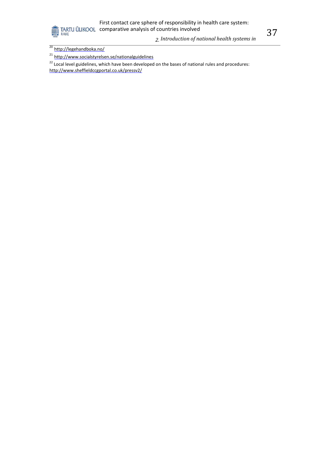First contact care sphere of responsibility in health care system: **COMPART CONFIDENT CONFIDENTI**<br>TARTU ÜLIKOOL comparative analysis of countries involved

*countries compared*

*2. Introduction of national health systems in* 



<sup>21</sup> <http://www.socialstyrelsen.se/nationalguidelines>

<sup>22</sup> Local level guidelines, which have been developed on the bases of national rules and procedures: <http://www.sheffieldccgportal.co.uk/pressv2/>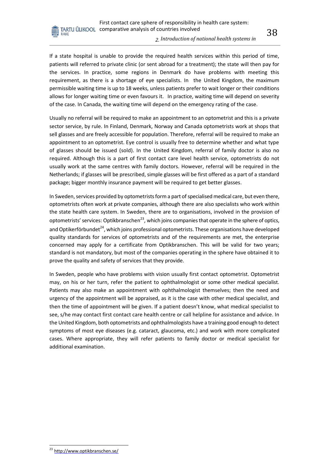

#### *2. Introduction of national health systems in*

If a state hospital is unable to provide the required health services within this period of time, patients will referred to private clinic (or sent abroad for a treatment); the state will then pay for the services. In practice, some regions in Denmark do have problems with meeting this requirement, as there is a shortage of eye specialists. In the United Kingdom, the maximum permissible waiting time is up to 18 weeks, unless patients prefer to wait longer or their conditions allows for longer waiting time or even favours it. In practice, waiting time will depend on severity of the case. In Canada, the waiting time will depend on the emergency rating of the case.

Usually no referral will be required to make an appointment to an optometrist and this is a private sector service, by rule. In Finland, Denmark, Norway and Canada optometrists work at shops that sell glasses and are freely accessible for population. Therefore, referral will be required to make an appointment to an optometrist. Eye control is usually free to determine whether and what type of glasses should be issued (sold). In the United Kingdom, referral of family doctor is also no required. Although this is a part of first contact care level health service, optometrists do not usually work at the same centres with family doctors. However, referral will be required in the Netherlands; if glasses will be prescribed, simple glasses will be first offered as a part of a standard package; bigger monthly insurance payment will be required to get better glasses.

In Sweden, services provided by optometrists form a part of specialised medical care, but even there, optometrists often work at private companies, although there are also specialists who work within the state health care system. In Sweden, there are to organisations, involved in the provision of optometrists' services: Optikbranschen<sup>23</sup>, which joins companies that operate in the sphere of optics, and Optikerförbundet<sup>24</sup>, which joins professional optometrists. These organisations have developed quality standards for services of optometrists and of the requirements are met, the enterprise concerned may apply for a certificate from Optikbranschen. This will be valid for two years; standard is not mandatory, but most of the companies operating in the sphere have obtained it to prove the quality and safety of services that they provide.

In Sweden, people who have problems with vision usually first contact optometrist. Optometrist may, on his or her turn, refer the patient to ophthalmologist or some other medical specialist. Patients may also make an appointment with ophthalmologist themselves; then the need and urgency of the appointment will be appraised, as it is the case with other medical specialist, and then the time of appointment will be given. If a patient doesn't know, what medical specialist to see, s/he may contact first contact care health centre or call helpline for assistance and advice. In the United Kingdom, both optometrists and ophthalmologists have a training good enough to detect symptoms of most eye diseases (e.g. cataract, glaucoma, etc.) and work with more complicated cases. Where appropriate, they will refer patients to family doctor or medical specialist for additional examination.

<sup>&</sup>lt;sup>23</sup> <http://www.optikbranschen.se/>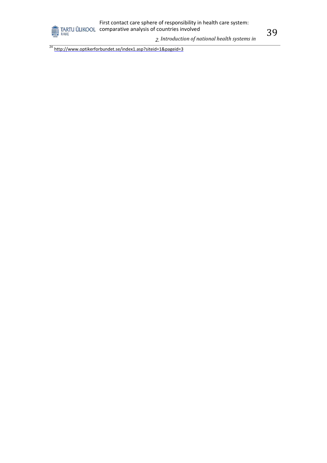*2. Introduction of national health systems in* 

<sup>24</sup> <http://www.optikerforbundet.se/index1.asp?siteid=1&pageid=3>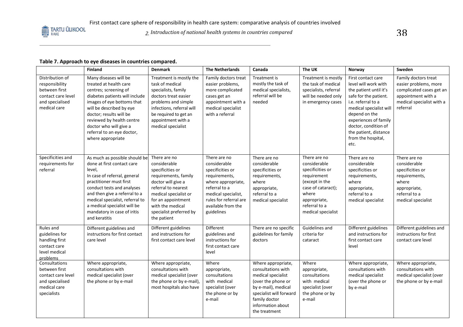2. Introduction of national health systems in countries compared **38** 38

## **Table 7. Approach to eye diseases in countries compared.**

|                                                                                                             | <b>Finland</b>                                                                                                                                                                                                                                                                                                     | <b>Denmark</b>                                                                                                                                                                                                                     | <b>The Netherlands</b>                                                                                                                                                                        | Canada                                                                                                                                                                                        | The UK                                                                                                                                                                  | Norway                                                                                                                                                                                                                                                                  | Sweden                                                                                                                                   |
|-------------------------------------------------------------------------------------------------------------|--------------------------------------------------------------------------------------------------------------------------------------------------------------------------------------------------------------------------------------------------------------------------------------------------------------------|------------------------------------------------------------------------------------------------------------------------------------------------------------------------------------------------------------------------------------|-----------------------------------------------------------------------------------------------------------------------------------------------------------------------------------------------|-----------------------------------------------------------------------------------------------------------------------------------------------------------------------------------------------|-------------------------------------------------------------------------------------------------------------------------------------------------------------------------|-------------------------------------------------------------------------------------------------------------------------------------------------------------------------------------------------------------------------------------------------------------------------|------------------------------------------------------------------------------------------------------------------------------------------|
| Distribution of<br>responsibility<br>between first<br>contact care level<br>and specialised<br>medical care | Many diseases will be<br>treated at health care<br>centres; screening of<br>diabetes patients will include<br>images of eye bottoms that<br>will be described by eye<br>doctor; results will be<br>reviewed by health centre<br>doctor who will give a<br>referral to an eye doctor,<br>where appropriate          | Treatment is mostly the<br>task of medical<br>specialists, family<br>doctors treat easier<br>problems and simple<br>infections, referral will<br>be required to get an<br>appointment with a<br>medical specialist                 | Family doctors treat<br>easier problems,<br>more complicated<br>cases get an<br>appointment with a<br>medical specialist<br>with a referral                                                   | Treatment is<br>mostly the task of<br>medical specialists,<br>referral will be<br>needed                                                                                                      | Treatment is mostly<br>the task of medical<br>specialists, referral<br>will be needed only<br>in emergency cases                                                        | First contact care<br>level will work with<br>the patient until it's<br>safe for the patient.<br>i.e. referral to a<br>medical specialist will<br>depend on the<br>experiences of family<br>doctor, condition of<br>the patient, distance<br>from the hospital,<br>etc. | Family doctors treat<br>easier problems, more<br>complicated cases get an<br>appointment with a<br>medical specialist with a<br>referral |
| Specificities and<br>requirements for<br>referral                                                           | As much as possible should be<br>done at first contact care<br>level.<br>In case of referral, general<br>practitioner must first<br>conduct tests and analyses<br>and then give a referral to a<br>medical specialist, referral to<br>a medical specialist will be<br>mandatory in case of iritis<br>and keratitis | There are no<br>considerable<br>specificities or<br>requirements, family<br>doctor will give a<br>referral to nearest<br>medical specialist or<br>for an appointment<br>with the medical<br>specialist preferred by<br>the patient | There are no<br>considerable<br>specificities or<br>requirements,<br>where appropriate,<br>referral to a<br>medical specialist,<br>rules for referral are<br>available from the<br>guidelines | There are no<br>considerable<br>specificities or<br>requirements,<br>where<br>appropriate,<br>referral to a<br>medical specialist                                                             | There are no<br>considerable<br>specificities or<br>requirement<br>(except in the<br>case of cataract);<br>where<br>appropriate,<br>referral to a<br>medical specialist | There are no<br>considerable<br>specificities or<br>requirements,<br>where<br>appropriate,<br>referral to a<br>medical specialist                                                                                                                                       | There are no<br>considerable<br>specificities or<br>requirements,<br>where<br>appropriate,<br>referral to a<br>medical specialist        |
| Rules and<br>guidelines for<br>handling first<br>contact care<br>level medical<br>problems                  | Different guidelines and<br>instructions for first contact<br>care level                                                                                                                                                                                                                                           | Different guidelines<br>and instructions for<br>first contact care level                                                                                                                                                           | Different<br>guidelines and<br>instructions for<br>first contact care<br>level                                                                                                                | There are no specific<br>guidelines for family<br>doctors                                                                                                                                     | Guidelines and<br>criteria for<br>cataract                                                                                                                              | Different guidelines<br>and instructions for<br>first contact care<br>level                                                                                                                                                                                             | Different guidelines and<br>instructions for first<br>contact care level                                                                 |
| Consultations<br>between first<br>contact care level<br>and specialised<br>medical care<br>specialists      | Where appropriate,<br>consultations with<br>medical specialist (over<br>the phone or by e-mail                                                                                                                                                                                                                     | Where appropriate,<br>consultations with<br>medical specialist (over<br>the phone or by e-mail),<br>most hospitals also have                                                                                                       | Where<br>appropriate,<br>consultations<br>with medical<br>specialist (over<br>the phone or by<br>e-mail                                                                                       | Where appropriate,<br>consultations with<br>medical specialist<br>(over the phone or<br>by e-mail), medical<br>specialist will forward<br>family doctor<br>information about<br>the treatment | Where<br>appropriate,<br>consultations<br>with medical<br>specialist (over<br>the phone or by<br>e-mail                                                                 | Where appropriate,<br>consultations with<br>medical specialist<br>(over the phone or<br>by e-mail                                                                                                                                                                       | Where appropriate,<br>consultations with<br>medical specialist (over<br>the phone or by e-mail                                           |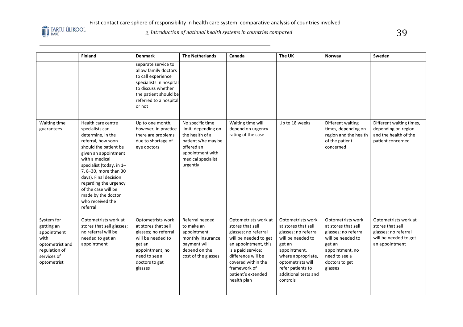

2. Introduction of national health systems in countries compared **39** 

|                                                                                                                   | <b>Finland</b>                                                                                                                                                                                                                                                                                                                          | <b>Denmark</b>                                                                                                                                                                  | <b>The Netherlands</b>                                                                                                                                | Canada                                                                                                                                                                                                                                   | The UK                                                                                                                                                                                                              | Norway                                                                                                                                                           | Sweden                                                                                                      |
|-------------------------------------------------------------------------------------------------------------------|-----------------------------------------------------------------------------------------------------------------------------------------------------------------------------------------------------------------------------------------------------------------------------------------------------------------------------------------|---------------------------------------------------------------------------------------------------------------------------------------------------------------------------------|-------------------------------------------------------------------------------------------------------------------------------------------------------|------------------------------------------------------------------------------------------------------------------------------------------------------------------------------------------------------------------------------------------|---------------------------------------------------------------------------------------------------------------------------------------------------------------------------------------------------------------------|------------------------------------------------------------------------------------------------------------------------------------------------------------------|-------------------------------------------------------------------------------------------------------------|
|                                                                                                                   |                                                                                                                                                                                                                                                                                                                                         | separate service to<br>allow family doctors<br>to call experience<br>specialists in hospital<br>to discuss whether<br>the patient should be<br>referred to a hospital<br>or not |                                                                                                                                                       |                                                                                                                                                                                                                                          |                                                                                                                                                                                                                     |                                                                                                                                                                  |                                                                                                             |
| Waiting time<br>guarantees                                                                                        | Health care centre<br>specialists can<br>determine, in the<br>referral, how soon<br>should the patient be<br>given an appointment<br>with a medical<br>specialist (today, in 1-<br>7, 8-30, more than 30<br>days). Final decision<br>regarding the urgency<br>of the case will be<br>made by the doctor<br>who received the<br>referral | Up to one month;<br>however, in practice<br>there are problems<br>due to shortage of<br>eye doctors                                                                             | No specific time<br>limit; depending on<br>the health of a<br>patient s/he may be<br>offered an<br>appointment with<br>medical specialist<br>urgently | Waiting time will<br>depend on urgency<br>rating of the case                                                                                                                                                                             | Up to 18 weeks                                                                                                                                                                                                      | Different waiting<br>times, depending on<br>region and the health<br>of the patient<br>concerned                                                                 | Different waiting times,<br>depending on region<br>and the health of the<br>patient concerned               |
| System for<br>getting an<br>appointment<br>with<br>optometrist and<br>regulation of<br>services of<br>optometrist | Optometrists work at<br>stores that sell glasses;<br>no referral will be<br>needed to get an<br>appointment                                                                                                                                                                                                                             | Optometrists work<br>at stores that sell<br>glasses; no referral<br>will be needed to<br>get an<br>appointment, no<br>need to see a<br>doctors to get<br>glasses                | Referral needed<br>to make an<br>appointment,<br>monthly insurance<br>payment will<br>depend on the<br>cost of the glasses                            | Optometrists work at<br>stores that sell<br>glasses; no referral<br>will be needed to get<br>an appointment, this<br>is a paid service;<br>difference will be<br>covered within the<br>framework of<br>patient's extended<br>health plan | Optometrists work<br>at stores that sell<br>glasses; no referral<br>will be needed to<br>get an<br>appointment,<br>where appropriate,<br>optometrists will<br>refer patients to<br>additional tests and<br>controls | Optometrists work<br>at stores that sell<br>glasses; no referral<br>will be needed to<br>get an<br>appointment, no<br>need to see a<br>doctors to get<br>glasses | Optometrists work at<br>stores that sell<br>glasses; no referral<br>will be needed to get<br>an appointment |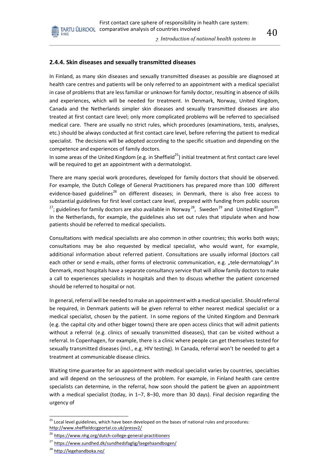*2. Introduction of national health systems in* 

#### **2.4.4. Skin diseases and sexually transmitted diseases**

In Finland, as many skin diseases and sexually transmitted diseases as possible are diagnosed at health care centres and patients will be only referred to an appointment with a medical specialist in case of problems that are less familiar or unknown for family doctor, resulting in absence of skills and experiences, which will be needed for treatment. In Denmark, Norway, United Kingdom, Canada and the Netherlands simpler skin diseases and sexually transmitted diseases are also treated at first contact care level; only more complicated problems will be referred to specialised medical care. There are usually no strict rules, which procedures (examinations, tests, analyses, etc.) should be always conducted at first contact care level, before referring the patient to medical specialist. The decisions will be adopted according to the specific situation and depending on the competence and experiences of family doctors.

In some areas of the United Kingdom (e.g. in Sheffield<sup>25</sup>) initial treatment at first contact care level will be required to get an appointment with a dermatologist.

There are many special work procedures, developed for family doctors that should be observed. For example, the Dutch College of General Practitioners has prepared more than 100 different evidence-based guidelines<sup>26</sup> on different diseases; in Denmark, there is also free access to substantial guidelines for first level contact care level, prepared with funding from public sources <sup>27</sup>; guidelines for family doctors are also available in Norway<sup>28</sup>, Sweden<sup>29</sup> and United Kingdom<sup>30</sup>. In the Netherlands, for example, the guidelines also set out rules that stipulate when and how patients should be referred to medical specialists.

Consultations with medical specialists are also common in other countries; this works both ways; consultations may be also requested by medical specialist, who would want, for example, additional information about referred patient. Consultations are usually informal (doctors call each other or send e-mails, other forms of electronic communication, e.g. "tele-dermatology".In Denmark, most hospitals have a separate consultancy service that will allow family doctors to make a call to experiences specialists in hospitals and then to discuss whether the patient concerned should be referred to hospital or not.

In general, referral will be needed to make an appointment with a medical specialist. Should referral be required, in Denmark patients will be given referral to either nearest medical specialist or a medical specialist, chosen by the patient. In some regions of the United Kingdom and Denmark (e.g. the capital city and other bigger towns) there are open access clinics that will admit patients without a referral (e.g. clinics of sexually transmitted diseases), that can be visited without a referral. In Copenhagen, for example, there is a clinic where people can get themselves tested for sexually transmitted diseases (incl., e.g. HIV testing). In Canada, referral won't be needed to get a treatment at communicable disease clinics.

Waiting time guarantee for an appointment with medical specialist varies by countries, specialties and will depend on the seriousness of the problem. For example, in Finland health care centre specialists can determine, in the referral, how soon should the patient be given an appointment with a medical specialist (today, in 1–7, 8–30, more than 30 days). Final decision regarding the urgency of

<sup>&</sup>lt;sup>25</sup> Local level guidelines, which have been developed on the bases of national rules and procedures: <http://www.sheffieldccgportal.co.uk/pressv2/>

<sup>&</sup>lt;sup>26</sup> <https://www.nhg.org/dutch-college-general-practitioners>

<sup>&</sup>lt;sup>27</sup> <https://www.sundhed.dk/sundhedsfaglig/laegehaandbogen/>

<sup>&</sup>lt;sup>28</sup> <http://legehandboka.no/>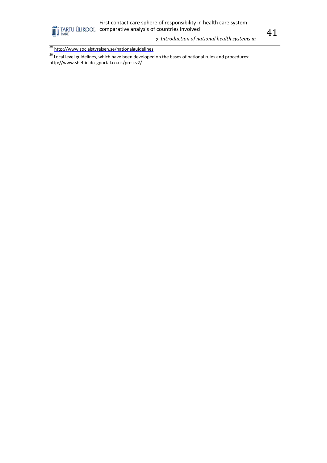

*2. Introduction of national health systems in* 

<sup>29</sup> <http://www.socialstyrelsen.se/nationalguidelines>

<sup>30</sup> Local level guidelines, which have been developed on the bases of national rules and procedures: <http://www.sheffieldccgportal.co.uk/pressv2/>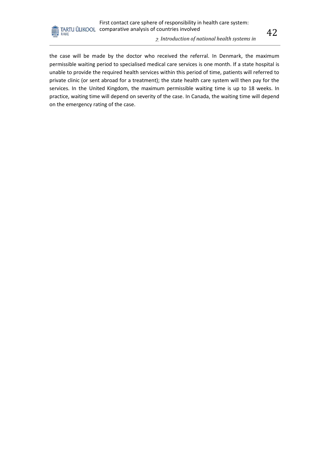#### *2. Introduction of national health systems in*

the case will be made by the doctor who received the referral. In Denmark, the maximum permissible waiting period to specialised medical care services is one month. If a state hospital is unable to provide the required health services within this period of time, patients will referred to private clinic (or sent abroad for a treatment); the state health care system will then pay for the services. In the United Kingdom, the maximum permissible waiting time is up to 18 weeks. In practice, waiting time will depend on severity of the case. In Canada, the waiting time will depend on the emergency rating of the case.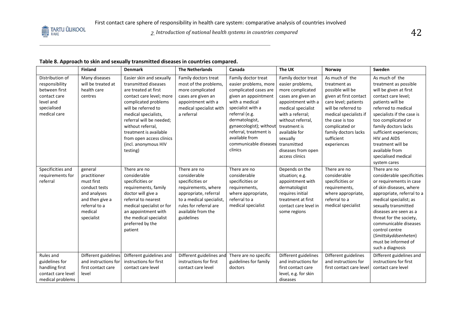#### **Table 8. Approach to skin and sexually transmitted diseases in countries compared.**

| <b>Finland</b>                                                                                                            |                                                                                   | <b>Denmark</b>                                                                                                                                                                                                                                                                                                         | <b>The Netherlands</b>                                                                                                                                                                     | Canada                                                                                                                                                                                                                                                                              | The UK                                                                                                                                                                                                                                                                     | Norway                                                                                                                                                                                                                                          | Sweden                                                                                                                                                                                                                                                                                                                                              |
|---------------------------------------------------------------------------------------------------------------------------|-----------------------------------------------------------------------------------|------------------------------------------------------------------------------------------------------------------------------------------------------------------------------------------------------------------------------------------------------------------------------------------------------------------------|--------------------------------------------------------------------------------------------------------------------------------------------------------------------------------------------|-------------------------------------------------------------------------------------------------------------------------------------------------------------------------------------------------------------------------------------------------------------------------------------|----------------------------------------------------------------------------------------------------------------------------------------------------------------------------------------------------------------------------------------------------------------------------|-------------------------------------------------------------------------------------------------------------------------------------------------------------------------------------------------------------------------------------------------|-----------------------------------------------------------------------------------------------------------------------------------------------------------------------------------------------------------------------------------------------------------------------------------------------------------------------------------------------------|
| Distribution of<br>responsibility<br>between first<br>contact care<br>centres<br>level and<br>specialised<br>medical care | Many diseases<br>will be treated at<br>health care                                | Easier skin and sexually<br>transmitted diseases<br>are treated at first<br>contact care level; more<br>complicated problems<br>will be referred to<br>medical specialists,<br>referral will be needed;<br>without referral,<br>treatment is available<br>from open access clinics<br>(incl. anonymous HIV<br>testing) | Family doctors treat<br>most of the problems,<br>more complicated<br>cases are given an<br>appointment with a<br>medical specialist with<br>a referral                                     | Family doctor treat<br>easier problems, more<br>complicated cases are<br>given an appointment<br>with a medical<br>specialist with a<br>referral (e.g.<br>dermatologist,<br>gynaecologist); without<br>referral, treatment is<br>available from<br>communicable diseases<br>clinics | Family doctor treat<br>easier problems,<br>more complicated<br>cases are given an<br>appointment with a<br>medical specialist<br>with a referral;<br>without referral,<br>treatment is<br>available for<br>sexually<br>transmitted<br>diseases from open<br>access clinics | As much of the<br>treatment as<br>possible will be<br>given at first contact<br>care level; patients<br>will be referred to<br>medical specialists if<br>the case is too<br>complicated or<br>family doctors lacks<br>sufficient<br>experiences | As much of the<br>treatment as possible<br>will be given at first<br>contact care level;<br>patients will be<br>referred to medical<br>specialists if the case is<br>too complicated or<br>family doctors lacks<br>sufficient experiences;<br>HIV and AIDS<br>treatment will be<br>available from<br>specialised medical<br>system cares            |
| Specificities and<br>general<br>requirements for<br>referral<br>must first<br>medical<br>specialist                       | practitioner<br>conduct tests<br>and analyses<br>and then give a<br>referral to a | There are no<br>considerable<br>specificities or<br>requirements, family<br>doctor will give a<br>referral to nearest<br>medical specialist or for<br>an appointment with<br>the medical specialist<br>preferred by the<br>patient                                                                                     | There are no<br>considerable<br>specificities or<br>requirements, where<br>appropriate, referral<br>to a medical specialist,<br>rules for referral are<br>available from the<br>guidelines | There are no<br>considerable<br>specificities or<br>requirements,<br>where appropriate,<br>referral to a<br>medical specialist                                                                                                                                                      | Depends on the<br>situation; e.g.<br>appointment with<br>dermatologist<br>requires initial<br>treatment at first<br>contact care level in<br>some regions                                                                                                                  | There are no<br>considerable<br>specificities or<br>requirements,<br>where appropriate,<br>referral to a<br>medical specialist                                                                                                                  | There are no<br>considerable specificities<br>or requirements in case<br>of skin diseases, where<br>appropriate, referral to a<br>medical specialist; as<br>sexually transmitted<br>diseases are seen as a<br>threat for the society,<br>communicable diseases<br>control centre<br>(Smittskyddsenheten)<br>must be informed of<br>such a diagnosis |
| Rules and<br>guidelines for<br>handling first<br>contact care level<br>level<br>medical problems                          | Different guidelines<br>and instructions for<br>first contact care                | Different guidelines and<br>instructions for first<br>contact care level                                                                                                                                                                                                                                               | Different guidelines and<br>instructions for first<br>contact care level                                                                                                                   | There are no specific<br>guidelines for family<br>doctors                                                                                                                                                                                                                           | Different guidelines<br>and instructions for<br>first contact care<br>level, e.g. for skin<br>diseases                                                                                                                                                                     | Different guidelines<br>and instructions for<br>first contact care level                                                                                                                                                                        | Different guidelines and<br>instructions for first<br>contact care level                                                                                                                                                                                                                                                                            |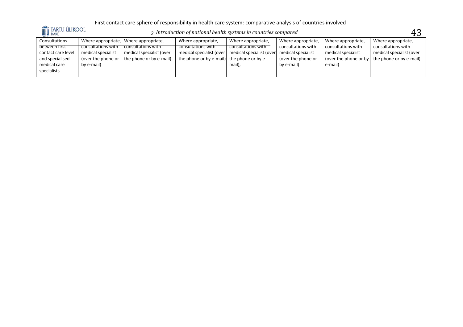

 $_2$  Introduction of national health systems in countries compared  $43\,$ 

| 103L<br>Consultations |                    | Where appropriate, Where appropriate, | Where appropriate,                         | Where appropriate,       | Where appropriate, | Where appropriate, | Where appropriate,                                    |
|-----------------------|--------------------|---------------------------------------|--------------------------------------------|--------------------------|--------------------|--------------------|-------------------------------------------------------|
| between first         | consultations with | consultations with                    | consultations with                         | consultations with       | consultations with | consultations with | consultations with                                    |
| contact care level    | medical specialist | medical specialist (over              | medical specialist (over                   | medical specialist (over | medical specialist | medical specialist | medical specialist (over                              |
| and specialised       | (over the phone or | the phone or by e-mail)               | the phone or by e-mail) the phone or by e- |                          | (over the phone or |                    | (over the phone or by $\vert$ the phone or by e-mail) |
| medical care          | by e-mail)         |                                       |                                            | mail),                   | by e-mail)         | e-mail)            |                                                       |
| specialists           |                    |                                       |                                            |                          |                    |                    |                                                       |
|                       |                    |                                       |                                            |                          |                    |                    |                                                       |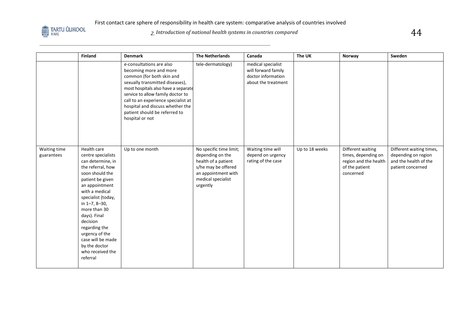

# $\,$  2. Introduction of national health systems in countries compared  $\,$

|                            | <b>Finland</b>                                                                                                                                                                                                                                                                                                                                     | <b>Denmark</b>                                                                                                                                                                                                                                                                                                                | <b>The Netherlands</b>                                                                                                                             | Canada                                                                                 | The UK         | Norway                                                                                           | Sweden                                                                                        |
|----------------------------|----------------------------------------------------------------------------------------------------------------------------------------------------------------------------------------------------------------------------------------------------------------------------------------------------------------------------------------------------|-------------------------------------------------------------------------------------------------------------------------------------------------------------------------------------------------------------------------------------------------------------------------------------------------------------------------------|----------------------------------------------------------------------------------------------------------------------------------------------------|----------------------------------------------------------------------------------------|----------------|--------------------------------------------------------------------------------------------------|-----------------------------------------------------------------------------------------------|
|                            |                                                                                                                                                                                                                                                                                                                                                    | e-consultations are also<br>becoming more and more<br>common (for both skin and<br>sexually transmitted diseases),<br>most hospitals also have a separate<br>service to allow family doctor to<br>call to an experience specialist at<br>hospital and discuss whether the<br>patient should be referred to<br>hospital or not | tele-dermatology)                                                                                                                                  | medical specialist<br>will forward family<br>doctor information<br>about the treatment |                |                                                                                                  |                                                                                               |
| Waiting time<br>guarantees | Health care<br>centre specialists<br>can determine, in<br>the referral, how<br>soon should the<br>patient be given<br>an appointment<br>with a medical<br>specialist (today,<br>in 1-7, 8-30,<br>more than 30<br>days). Final<br>decision<br>regarding the<br>urgency of the<br>case will be made<br>by the doctor<br>who received the<br>referral | Up to one month                                                                                                                                                                                                                                                                                                               | No specific time limit;<br>depending on the<br>health of a patient<br>s/he may be offered<br>an appointment with<br>medical specialist<br>urgently | Waiting time will<br>depend on urgency<br>rating of the case                           | Up to 18 weeks | Different waiting<br>times, depending on<br>region and the health<br>of the patient<br>concerned | Different waiting times,<br>depending on region<br>and the health of the<br>patient concerned |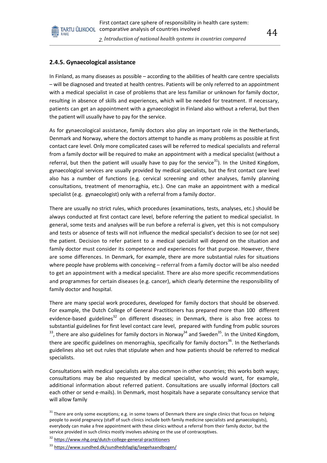#### **2.4.5. Gynaecological assistance**

RAKE

In Finland, as many diseases as possible – according to the abilities of health care centre specialists – will be diagnosed and treated at health centres. Patients will be only referred to an appointment with a medical specialist in case of problems that are less familiar or unknown for family doctor, resulting in absence of skills and experiences, which will be needed for treatment. If necessary, patients can get an appointment with a gynaecologist in Finland also without a referral, but then the patient will usually have to pay for the service.

As for gynaecological assistance, family doctors also play an important role in the Netherlands, Denmark and Norway, where the doctors attempt to handle as many problems as possible at first contact care level. Only more complicated cases will be referred to medical specialists and referral from a family doctor will be required to make an appointment with a medical specialist (without a referral, but then the patient will usually have to pay for the service<sup>31</sup>). In the United Kingdom, gynaecological services are usually provided by medical specialists, but the first contact care level also has a number of functions (e.g. cervical screening and other analyses, family planning consultations, treatment of menorraghia, etc.). One can make an appointment with a medical specialist (e.g. gynaecologist) only with a referral from a family doctor.

There are usually no strict rules, which procedures (examinations, tests, analyses, etc.) should be always conducted at first contact care level, before referring the patient to medical specialist. In general, some tests and analyses will be run before a referral is given, yet this is not compulsory and tests or absence of tests will not influence the medical specialist's decision to see (or not see) the patient. Decision to refer patient to a medical specialist will depend on the situation and family doctor must consider its competence and experiences for that purpose. However, there are some differences. In Denmark, for example, there are more substantial rules for situations where people have problems with conceiving – referral from a family doctor will be also needed to get an appointment with a medical specialist. There are also more specific recommendations and programmes for certain diseases (e.g. cancer), which clearly determine the responsibility of family doctor and hospital.

There are many special work procedures, developed for family doctors that should be observed. For example, the Dutch College of General Practitioners has prepared more than 100 different evidence-based guidelines<sup>32</sup> on different diseases; in Denmark, there is also free access to substantial guidelines for first level contact care level, prepared with funding from public sources  $^{33}$ , there are also guidelines for family doctors in Norway<sup>34</sup> and Sweden<sup>35</sup>. In the United Kingdom, there are specific guidelines on menorraghia, specifically for family doctors<sup>36</sup>. In the Netherlands guidelines also set out rules that stipulate when and how patients should be referred to medical specialists.

Consultations with medical specialists are also common in other countries; this works both ways; consultations may be also requested by medical specialist, who would want, for example, additional information about referred patient. Consultations are usually informal (doctors call each other or send e-mails). In Denmark, most hospitals have a separate consultancy service that will allow family

<sup>31</sup> There are only some exceptions; e.g. in some towns of Denmark there are single clinics that focus on helping people to avoid pregnancy (staff of such clinics include both family medicine specialists and gynaecologists), everybody can make a free appointment with these clinics without a referral from their family doctor, but the service provided in such clinics mostly involves advising on the use of contraceptives.

<sup>32</sup> <https://www.nhg.org/dutch-college-general-practitioners>

<sup>33</sup> <https://www.sundhed.dk/sundhedsfaglig/laegehaandbogen/>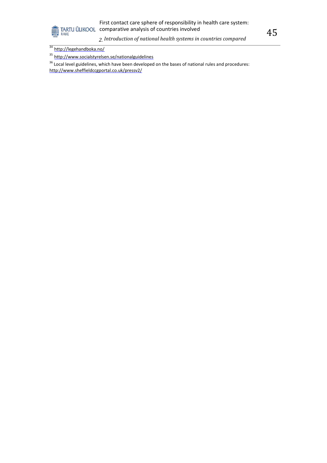

# First contact care sphere of responsibility in health care system: **COMPART CONFIDENTIAL CONFIDENTI**<br>TARTU ÜLIKOOL comparative analysis of countries involved

*2. Introduction of national health systems in countries compared*

<sup>35</sup> <http://www.socialstyrelsen.se/nationalguidelines>

<sup>36</sup> Local level guidelines, which have been developed on the bases of national rules and procedures: <http://www.sheffieldccgportal.co.uk/pressv2/>

<sup>&</sup>lt;sup>34</sup> <http://legehandboka.no/>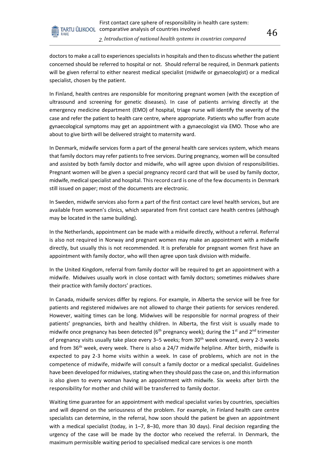

doctors to make a call to experiences specialists in hospitals and then to discuss whether the patient concerned should be referred to hospital or not. Should referral be required, in Denmark patients will be given referral to either nearest medical specialist (midwife or gynaecologist) or a medical specialist, chosen by the patient.

In Finland, health centres are responsible for monitoring pregnant women (with the exception of ultrasound and screening for genetic diseases). In case of patients arriving directly at the emergency medicine department (EMO) of hospital, triage nurse will identify the severity of the case and refer the patient to health care centre, where appropriate. Patients who suffer from acute gynaecological symptoms may get an appointment with a gynaecologist via EMO. Those who are about to give birth will be delivered straight to maternity ward.

In Denmark, midwife services form a part of the general health care services system, which means that family doctors may refer patients to free services. During pregnancy, women will be consulted and assisted by both family doctor and midwife, who will agree upon division of responsibilities. Pregnant women will be given a special pregnancy record card that will be used by family doctor, midwife, medical specialist and hospital. This record card is one of the few documents in Denmark still issued on paper; most of the documents are electronic.

In Sweden, midwife services also form a part of the first contact care level health services, but are available from women's clinics, which separated from first contact care health centres (although may be located in the same building).

In the Netherlands, appointment can be made with a midwife directly, without a referral. Referral is also not required in Norway and pregnant women may make an appointment with a midwife directly, but usually this is not recommended. It is preferable for pregnant women first have an appointment with family doctor, who will then agree upon task division with midwife.

In the United Kingdom, referral from family doctor will be required to get an appointment with a midwife. Midwives usually work in close contact with family doctors; sometimes midwives share their practice with family doctors' practices.

In Canada, midwife services differ by regions. For example, in Alberta the service will be free for patients and registered midwives are not allowed to charge their patients for services rendered. However, waiting times can be long. Midwives will be responsible for normal progress of their patients' pregnancies, birth and healthy children. In Alberta, the first visit is usually made to midwife once pregnancy has been detected ( $6<sup>th</sup>$  pregnancy week); during the 1<sup>st</sup> and 2<sup>nd</sup> trimester of pregnancy visits usually take place every 3–5 weeks; from 30th week onward, every 2-3 weeks and from  $36<sup>th</sup>$  week, every week. There is also a 24/7 midwife helpline. After birth, midwife is expected to pay 2-3 home visits within a week. In case of problems, which are not in the competence of midwife, midwife will consult a family doctor or a medical specialist. Guidelines have been developed for midwives, stating when they should pass the case on, and this information is also given to every woman having an appointment with midwife. Six weeks after birth the responsibility for mother and child will be transferred to family doctor.

Waiting time guarantee for an appointment with medical specialist varies by countries, specialties and will depend on the seriousness of the problem. For example, in Finland health care centre specialists can determine, in the referral, how soon should the patient be given an appointment with a medical specialist (today, in 1–7, 8–30, more than 30 days). Final decision regarding the urgency of the case will be made by the doctor who received the referral. In Denmark, the maximum permissible waiting period to specialised medical care services is one month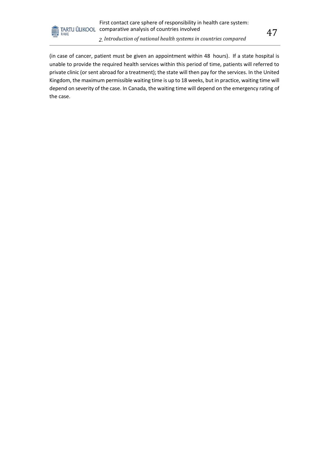

(in case of cancer, patient must be given an appointment within 48 hours). If a state hospital is unable to provide the required health services within this period of time, patients will referred to private clinic (or sent abroad for a treatment); the state will then pay for the services. In the United Kingdom, the maximum permissible waiting time is up to 18 weeks, but in practice, waiting time will depend on severity of the case. In Canada, the waiting time will depend on the emergency rating of the case.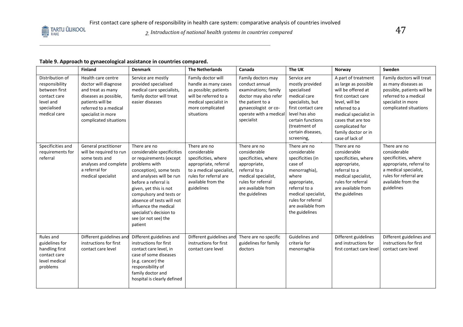*2. Introduction of national health systems in countries compared* 47

#### **Table 9. Approach to gynaecological assistance in countries compared.**

|                                                                                                                | Finland                                                                                                                                                                               | <b>Denmark</b>                                                                                                                                                                                                                                                                                                                                  | <b>The Netherlands</b>                                                                                                                                                  | Canada                                                                                                                                                                     | The UK                                                                                                                                                                                                       | Norway                                                                                                                                                                                                                                 | Sweden                                                                                                                                                                  |
|----------------------------------------------------------------------------------------------------------------|---------------------------------------------------------------------------------------------------------------------------------------------------------------------------------------|-------------------------------------------------------------------------------------------------------------------------------------------------------------------------------------------------------------------------------------------------------------------------------------------------------------------------------------------------|-------------------------------------------------------------------------------------------------------------------------------------------------------------------------|----------------------------------------------------------------------------------------------------------------------------------------------------------------------------|--------------------------------------------------------------------------------------------------------------------------------------------------------------------------------------------------------------|----------------------------------------------------------------------------------------------------------------------------------------------------------------------------------------------------------------------------------------|-------------------------------------------------------------------------------------------------------------------------------------------------------------------------|
| Distribution of<br>responsibility<br>between first<br>contact care<br>level and<br>specialised<br>medical care | Health care centre<br>doctor will diagnose<br>and treat as many<br>diseases as possible,<br>patients will be<br>referred to a medical<br>specialist in more<br>complicated situations | Service are mostly<br>provided specialised<br>medical care specialists,<br>family doctor will treat<br>easier diseases                                                                                                                                                                                                                          | Family doctor will<br>handle as many cases<br>as possible; patients<br>will be referred to a<br>medical specialist in<br>more complicated<br>situations                 | Family doctors may<br>conduct annual<br>examinations; family<br>doctor may also refer<br>the patient to a<br>gynaecologist or co-<br>operate with a medical<br>specialist  | Service are<br>mostly provided<br>specialised<br>medical care<br>specialists, but<br>first contact care<br>level has also<br>certain functions<br>(treatment of<br>certain diseases,<br>screening,           | A part of treatment<br>as large as possible<br>will be offered at<br>first contact care<br>level, will be<br>referred to a<br>medical specialist in<br>cases that are too<br>complicated for<br>family doctor or in<br>case of lack of | Family doctors will treat<br>as many diseases as<br>possible, patients will be<br>referred to a medical<br>specialist in more<br>complicated situations                 |
| Specificities and<br>requirements for<br>referral                                                              | General practitioner<br>will be required to run<br>some tests and<br>analyses and complete<br>a referral for<br>medical specialist                                                    | There are no<br>considerable specificities<br>or requirements (except<br>problems with<br>conception), some tests<br>and analyses will be run<br>before a referral is<br>given, yet this is not<br>compulsory and tests or<br>absence of tests will not<br>influence the medical<br>specialist's decision to<br>see (or not see) the<br>patient | There are no<br>considerable<br>specificities, where<br>appropriate, referral<br>to a medical specialist,<br>rules for referral are<br>available from the<br>guidelines | There are no<br>considerable<br>specificities, where<br>appropriate,<br>referral to a<br>medical specialist,<br>rules for referral<br>are available from<br>the guidelines | There are no<br>considerable<br>specificities (in<br>case of<br>menorraghia),<br>where<br>appropriate,<br>referral to a<br>medical specialist,<br>rules for referral<br>are available from<br>the guidelines | There are no<br>considerable<br>specificities, where<br>appropriate,<br>referral to a<br>medical specialist,<br>rules for referral<br>are available from<br>the guidelines                                                             | There are no<br>considerable<br>specificities, where<br>appropriate, referral to<br>a medical specialist,<br>rules for referral are<br>available from the<br>guidelines |
| Rules and<br>guidelines for<br>handling first<br>contact care<br>level medical<br>problems                     | Different guidelines and<br>instructions for first<br>contact care level                                                                                                              | Different guidelines and<br>instructions for first<br>contact care level, in<br>case of some diseases<br>(e.g. cancer) the<br>responsibility of<br>family doctor and<br>hospital is clearly defined                                                                                                                                             | Different guidelines and<br>instructions for first<br>contact care level                                                                                                | There are no specific<br>guidelines for family<br>doctors                                                                                                                  | Guidelines and<br>criteria for<br>menorraghia                                                                                                                                                                | Different guidelines<br>and instructions for<br>first contact care level                                                                                                                                                               | Different guidelines and<br>instructions for first<br>contact care level                                                                                                |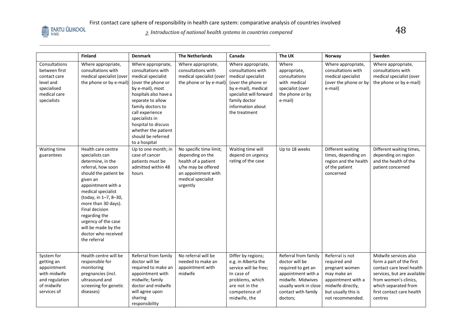

2. Introduction of national health systems in countries compared<br>2. Introduction of national health systems in countries compared

|                                                                                                           | <b>Finland</b>                                                                                                                                                                                                                                                                                                                            | <b>Denmark</b>                                                                                                                                                                                                                                                                                        | <b>The Netherlands</b>                                                                                                                             | Canada                                                                                                                                                                                        | The UK                                                                                                                                                              | Norway                                                                                                                                                 | Sweden                                                                                                                                                                                                 |
|-----------------------------------------------------------------------------------------------------------|-------------------------------------------------------------------------------------------------------------------------------------------------------------------------------------------------------------------------------------------------------------------------------------------------------------------------------------------|-------------------------------------------------------------------------------------------------------------------------------------------------------------------------------------------------------------------------------------------------------------------------------------------------------|----------------------------------------------------------------------------------------------------------------------------------------------------|-----------------------------------------------------------------------------------------------------------------------------------------------------------------------------------------------|---------------------------------------------------------------------------------------------------------------------------------------------------------------------|--------------------------------------------------------------------------------------------------------------------------------------------------------|--------------------------------------------------------------------------------------------------------------------------------------------------------------------------------------------------------|
| Consultations<br>between first<br>contact care<br>level and<br>specialised<br>medical care<br>specialists | Where appropriate,<br>consultations with<br>medical specialist (over<br>the phone or by e-mail)                                                                                                                                                                                                                                           | Where appropriate,<br>consultations with<br>medical specialist<br>(over the phone or<br>by e-mail), most<br>hospitals also have a<br>separate to allow<br>family doctors to<br>call experience<br>specialists in<br>hospital to discuss<br>whether the patient<br>should be referred<br>to a hospital | Where appropriate,<br>consultations with<br>medical specialist (over<br>the phone or by e-mail)                                                    | Where appropriate,<br>consultations with<br>medical specialist<br>(over the phone or<br>by e-mail), medical<br>specialist will forward<br>family doctor<br>information about<br>the treatment | Where<br>appropriate,<br>consultations<br>with medical<br>specialist (over<br>the phone or by<br>e-mail)                                                            | Where appropriate,<br>consultations with<br>medical specialist<br>(over the phone or by<br>e-mail)                                                     | Where appropriate,<br>consultations with<br>medical specialist (over<br>the phone or by e-mail)                                                                                                        |
| Waiting time<br>guarantees                                                                                | Health care centre<br>specialists can<br>determine, in the<br>referral, how soon<br>should the patient be<br>given an<br>appointment with a<br>medical specialist<br>(today, in 1-7, 8-30,<br>more than 30 days).<br>Final decision<br>regarding the<br>urgency of the case<br>will be made by the<br>doctor who received<br>the referral | Up to one month; in<br>case of cancer<br>patients must be<br>admitted within 48<br>hours                                                                                                                                                                                                              | No specific time limit;<br>depending on the<br>health of a patient<br>s/he may be offered<br>an appointment with<br>medical specialist<br>urgently | Waiting time will<br>depend on urgency<br>rating of the case                                                                                                                                  | Up to 18 weeks                                                                                                                                                      | Different waiting<br>times, depending on<br>region and the health<br>of the patient<br>concerned                                                       | Different waiting times,<br>depending on region<br>and the health of the<br>patient concerned                                                                                                          |
| System for<br>getting an<br>appointment<br>with midwife<br>and regulation<br>of midwife<br>services of    | Health centre will be<br>responsible for<br>monitoring<br>pregnancies (incl.<br>ultrasound and<br>screening for genetic<br>diseases)                                                                                                                                                                                                      | Referral from family<br>doctor will be<br>required to make an<br>appointment with<br>midwife; family<br>doctor and midwife<br>will agree upon<br>sharing<br>responsibility                                                                                                                            | No referral will be<br>needed to make an<br>appointment with<br>midwife                                                                            | Differ by regions;<br>e.g. in Alberta the<br>service will be free;<br>In case of<br>problems, which<br>are not in the<br>competence of<br>midwife, the                                        | Referral from family<br>doctor will be<br>required to get an<br>appointment with a<br>midwife. Midwives<br>usually work in close<br>contact with family<br>doctors; | Referral is not<br>required and<br>pregnant women<br>may make an<br>appointment with a<br>midwife directly,<br>but usually this is<br>not recommended. | Midwife services also<br>form a part of the first<br>contact care level health<br>services, but are available<br>from women's clinics,<br>which separated from<br>first contact care health<br>centres |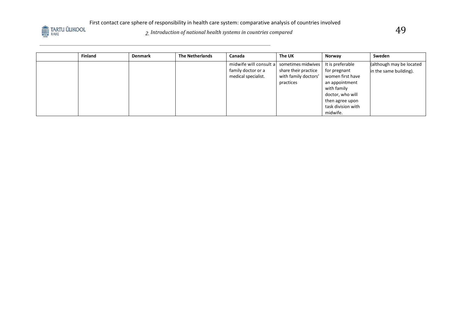

# *2. Introduction of national health systems in countries compared* 49

| <b>Finland</b> | <b>Denmark</b> | <b>The Netherlands</b> | Canada                 | The UK               | Norway             | Sweden                   |
|----------------|----------------|------------------------|------------------------|----------------------|--------------------|--------------------------|
|                |                |                        | midwife will consult a | sometimes midwives   | It is preferable   | (although may be located |
|                |                |                        | family doctor or a     | share their practice | for pregnant       | in the same building).   |
|                |                |                        | medical specialist.    | with family doctors' | women first have   |                          |
|                |                |                        |                        | practices            | an appointment     |                          |
|                |                |                        |                        |                      | with family        |                          |
|                |                |                        |                        |                      | doctor, who will   |                          |
|                |                |                        |                        |                      | then agree upon    |                          |
|                |                |                        |                        |                      | task division with |                          |
|                |                |                        |                        |                      | midwife.           |                          |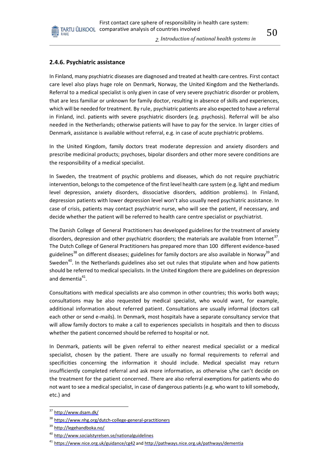*2. Introduction of national health systems in* 

#### **2.4.6. Psychiatric assistance**

In Finland, many psychiatric diseases are diagnosed and treated at health care centres. First contact care level also plays huge role on Denmark, Norway, the United Kingdom and the Netherlands. Referral to a medical specialist is only given in case of very severe psychiatric disorder or problem, that are less familiar or unknown for family doctor, resulting in absence of skills and experiences, which will be needed for treatment. By rule, psychiatric patients are also expected to have a referral in Finland, incl. patients with severe psychiatric disorders (e.g. psychosis). Referral will be also needed in the Netherlands; otherwise patients will have to pay for the service. In larger cities of Denmark, assistance is available without referral, e.g. in case of acute psychiatric problems.

In the United Kingdom, family doctors treat moderate depression and anxiety disorders and prescribe medicinal products; psychoses, bipolar disorders and other more severe conditions are the responsibility of a medical specialist.

In Sweden, the treatment of psychic problems and diseases, which do not require psychiatric intervention, belongs to the competence of the first level health care system (e.g. light and medium level depression, anxiety disorders, dissociative disorders, addition problems). In Finland, depression patients with lower depression level won't also usually need psychiatric assistance. In case of crisis, patients may contact psychiatric nurse, who will see the patient, if necessary, and decide whether the patient will be referred to health care centre specialist or psychiatrist.

The Danish College of General Practitioners has developed guidelines for the treatment of anxiety disorders, depression and other psychiatric disorders; the materials are available from Internet<sup>37</sup>. The Dutch College of General Practitioners has prepared more than 100 different evidence-based guidelines<sup>38</sup> on different diseases; guidelines for family doctors are also available in Norway<sup>39</sup> and Sweden<sup>40</sup>. In the Netherlands guidelines also set out rules that stipulate when and how patients should be referred to medical specialists. In the United Kingdom there are guidelines on depression and dementia $41$ .

Consultations with medical specialists are also common in other countries; this works both ways; consultations may be also requested by medical specialist, who would want, for example, additional information about referred patient. Consultations are usually informal (doctors call each other or send e-mails). In Denmark, most hospitals have a separate consultancy service that will allow family doctors to make a call to experiences specialists in hospitals and then to discuss whether the patient concerned should be referred to hospital or not.

In Denmark, patients will be given referral to either nearest medical specialist or a medical specialist, chosen by the patient. There are usually no formal requirements to referral and specificities concerning the information it should include. Medical specialist may return insufficiently completed referral and ask more information, as otherwise s/he can't decide on the treatment for the patient concerned. There are also referral exemptions for patients who do not want to see a medical specialist, in case of dangerous patients (e.g. who want to kill somebody, etc.) and

<sup>&</sup>lt;sup>37</sup> <http://www.dsam.dk/>

<sup>&</sup>lt;sup>38</sup> <https://www.nhg.org/dutch-college-general-practitioners>

<sup>&</sup>lt;sup>39</sup> <http://legehandboka.no/>

<sup>&</sup>lt;sup>40</sup> <http://www.socialstyrelsen.se/nationalguidelines>

<sup>&</sup>lt;sup>41</sup> <https://www.nice.org.uk/guidance/cg42> and <http://pathways.nice.org.uk/pathways/dementia>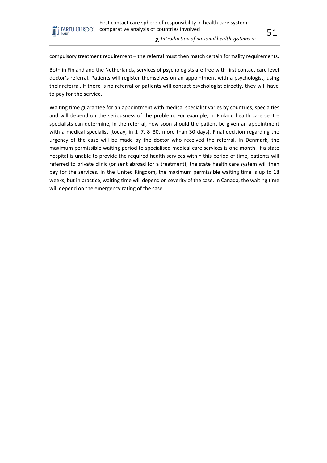

RAKE

Both in Finland and the Netherlands, services of psychologists are free with first contact care level doctor's referral. Patients will register themselves on an appointment with a psychologist, using their referral. If there is no referral or patients will contact psychologist directly, they will have to pay for the service.

Waiting time guarantee for an appointment with medical specialist varies by countries, specialties and will depend on the seriousness of the problem. For example, in Finland health care centre specialists can determine, in the referral, how soon should the patient be given an appointment with a medical specialist (today, in 1–7, 8–30, more than 30 days). Final decision regarding the urgency of the case will be made by the doctor who received the referral. In Denmark, the maximum permissible waiting period to specialised medical care services is one month. If a state hospital is unable to provide the required health services within this period of time, patients will referred to private clinic (or sent abroad for a treatment); the state health care system will then pay for the services. In the United Kingdom, the maximum permissible waiting time is up to 18 weeks, but in practice, waiting time will depend on severity of the case. In Canada, the waiting time will depend on the emergency rating of the case.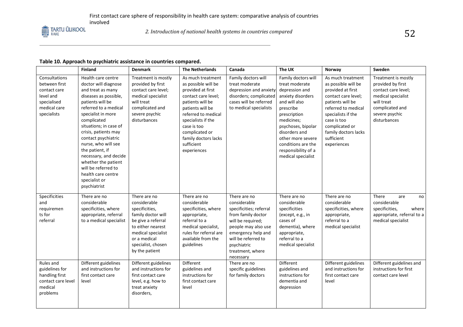

#### **Table 10. Approach to psychiatric assistance in countries compared.**

|                                                                                                           | Finland                                                                                                                                                                                                                                                                                                                                                                                                                     | <b>Denmark</b>                                                                                                                                                                                | <b>The Netherlands</b>                                                                                                                                                                                                                                          | Canada                                                                                                                                                                                                                 | The UK                                                                                                                                                                                                                                                                  | Norway                                                                                                                                                                                                                                      | Sweden                                                                                                                                                   |
|-----------------------------------------------------------------------------------------------------------|-----------------------------------------------------------------------------------------------------------------------------------------------------------------------------------------------------------------------------------------------------------------------------------------------------------------------------------------------------------------------------------------------------------------------------|-----------------------------------------------------------------------------------------------------------------------------------------------------------------------------------------------|-----------------------------------------------------------------------------------------------------------------------------------------------------------------------------------------------------------------------------------------------------------------|------------------------------------------------------------------------------------------------------------------------------------------------------------------------------------------------------------------------|-------------------------------------------------------------------------------------------------------------------------------------------------------------------------------------------------------------------------------------------------------------------------|---------------------------------------------------------------------------------------------------------------------------------------------------------------------------------------------------------------------------------------------|----------------------------------------------------------------------------------------------------------------------------------------------------------|
| Consultations<br>between first<br>contact care<br>level and<br>specialised<br>medical care<br>specialists | Health care centre<br>doctor will diagnose<br>and treat as many<br>diseases as possible,<br>patients will be<br>referred to a medical<br>specialist in more<br>complicated<br>situations; in case of<br>crisis, patients may<br>contact psychiatric<br>nurse, who will see<br>the patient, if<br>necessary, and decide<br>whether the patient<br>will be referred to<br>health care centre<br>specialist or<br>psychiatrist | Treatment is mostly<br>provided by first<br>contact care level;<br>medical specialist<br>will treat<br>complicated and<br>severe psychic<br>disturbances                                      | As much treatment<br>as possible will be<br>provided at first<br>contact care level;<br>patients will be<br>patients will be<br>referred to medical<br>specialists if the<br>case is too<br>complicated or<br>family doctors lacks<br>sufficient<br>experiences | Family doctors will<br>treat moderate<br>depression and anxiety<br>disorders; complicated<br>cases will be referred<br>to medical specialists                                                                          | Family doctors will<br>treat moderate<br>depression and<br>anxiety disorders<br>and will also<br>prescribe<br>prescription<br>medicines;<br>psychoses, bipolar<br>disorders and<br>other more severe<br>conditions are the<br>responsibility of a<br>medical specialist | As much treatment<br>as possible will be<br>provided at first<br>contact care level;<br>patients will be<br>referred to medical<br>specialists if the<br>case is too<br>complicated or<br>family doctors lacks<br>sufficient<br>experiences | Treatment is mostly<br>provided by first<br>contact care level;<br>medical specialist<br>will treat<br>complicated and<br>severe psychic<br>disturbances |
| Specificities<br>and<br>requiremen<br>ts for<br>referral                                                  | There are no<br>considerable<br>specificities, where<br>appropriate, referral<br>to a medical specialist                                                                                                                                                                                                                                                                                                                    | There are no<br>considerable<br>specificities,<br>family doctor will<br>be give a referral<br>to either nearest<br>medical specialist<br>or a medical<br>specialist, chosen<br>by the patient | There are no<br>considerable<br>specificities, where<br>appropriate,<br>referral to a<br>medical specialist,<br>rules for referral are<br>available from the<br>guidelines                                                                                      | There are no<br>considerable<br>specificities; referral<br>from family doctor<br>will be required;<br>people may also use<br>emergency help and<br>will be referred to<br>psychiatric<br>treatment, where<br>necessary | There are no<br>considerable<br>specificities<br>(except, e.g., in<br>cases of<br>dementia), where<br>appropriate,<br>referral to a<br>medical specialist                                                                                                               | There are no<br>considerable<br>specificities, where<br>appropriate,<br>referral to a<br>medical specialist                                                                                                                                 | There<br>are<br>no<br>considerable<br>specificities,<br>where<br>appropriate, referral to a<br>medical specialist                                        |
| Rules and<br>guidelines for<br>handling first<br>contact care level<br>medical<br>problems                | Different guidelines<br>and instructions for<br>first contact care<br>level                                                                                                                                                                                                                                                                                                                                                 | Different guidelines<br>and instructions for<br>first contact care<br>level, e.g. how to<br>treat anxiety<br>disorders,                                                                       | Different<br>guidelines and<br>instructions for<br>first contact care<br>level                                                                                                                                                                                  | There are no<br>specific guidelines<br>for family doctors                                                                                                                                                              | Different<br>guidelines and<br>instructions for<br>dementia and<br>depression                                                                                                                                                                                           | Different guidelines<br>and instructions for<br>first contact care<br>level                                                                                                                                                                 | Different guidelines and<br>instructions for first<br>contact care level                                                                                 |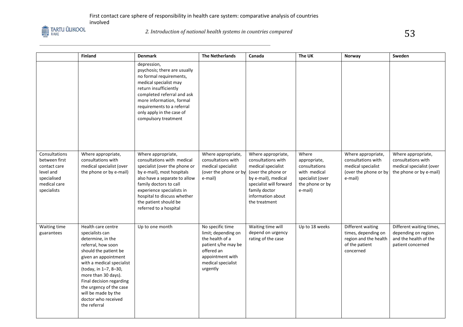

|                                                                                                           | Finland                                                                                                                                                                                                                                                                                                                             | <b>Denmark</b>                                                                                                                                                                                                                                                                            | <b>The Netherlands</b>                                                                                                                                | Canada                                                                                                                                                                                        | The UK                                                                                                   | Norway                                                                                             | Sweden                                                                                          |
|-----------------------------------------------------------------------------------------------------------|-------------------------------------------------------------------------------------------------------------------------------------------------------------------------------------------------------------------------------------------------------------------------------------------------------------------------------------|-------------------------------------------------------------------------------------------------------------------------------------------------------------------------------------------------------------------------------------------------------------------------------------------|-------------------------------------------------------------------------------------------------------------------------------------------------------|-----------------------------------------------------------------------------------------------------------------------------------------------------------------------------------------------|----------------------------------------------------------------------------------------------------------|----------------------------------------------------------------------------------------------------|-------------------------------------------------------------------------------------------------|
|                                                                                                           |                                                                                                                                                                                                                                                                                                                                     | depression,<br>psychosis; there are usually<br>no formal requirements,<br>medical specialist may<br>return insufficiently<br>completed referral and ask<br>more information, formal<br>requirements to a referral<br>only apply in the case of<br>compulsory treatment                    |                                                                                                                                                       |                                                                                                                                                                                               |                                                                                                          |                                                                                                    |                                                                                                 |
| Consultations<br>between first<br>contact care<br>level and<br>specialised<br>medical care<br>specialists | Where appropriate,<br>consultations with<br>medical specialist (over<br>the phone or by e-mail)                                                                                                                                                                                                                                     | Where appropriate,<br>consultations with medical<br>specialist (over the phone or<br>by e-mail), most hospitals<br>also have a separate to allow<br>family doctors to call<br>experience specialists in<br>hospital to discuss whether<br>the patient should be<br>referred to a hospital | Where appropriate,<br>consultations with<br>medical specialist<br>(over the phone or by<br>e-mail)                                                    | Where appropriate,<br>consultations with<br>medical specialist<br>(over the phone or<br>by e-mail), medical<br>specialist will forward<br>family doctor<br>information about<br>the treatment | Where<br>appropriate,<br>consultations<br>with medical<br>specialist (over<br>the phone or by<br>e-mail) | Where appropriate,<br>consultations with<br>medical specialist<br>(over the phone or by<br>e-mail) | Where appropriate,<br>consultations with<br>medical specialist (over<br>the phone or by e-mail) |
| Waiting time<br>guarantees                                                                                | Health care centre<br>specialists can<br>determine, in the<br>referral, how soon<br>should the patient be<br>given an appointment<br>with a medical specialist<br>(today, in 1-7, 8-30,<br>more than 30 days).<br>Final decision regarding<br>the urgency of the case<br>will be made by the<br>doctor who received<br>the referral | Up to one month                                                                                                                                                                                                                                                                           | No specific time<br>limit; depending on<br>the health of a<br>patient s/he may be<br>offered an<br>appointment with<br>medical specialist<br>urgently | Waiting time will<br>depend on urgency<br>rating of the case                                                                                                                                  | Up to 18 weeks                                                                                           | Different waiting<br>times, depending on<br>region and the health<br>of the patient<br>concerned   | Different waiting times,<br>depending on region<br>and the health of the<br>patient concerned   |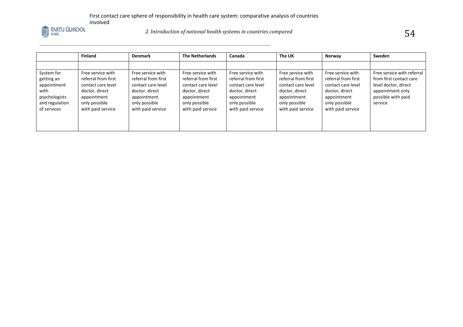

# *2. Introduction of national health systems in countries compared*  $54$

|                                                                                                   | <b>Finland</b>                                                                                                                        | <b>Denmark</b>                                                                                                                        | <b>The Netherlands</b>                                                                                                                | Canada                                                                                                                                | The UK                                                                                                                                | Norway                                                                                                                                | Sweden                                                                                                                             |
|---------------------------------------------------------------------------------------------------|---------------------------------------------------------------------------------------------------------------------------------------|---------------------------------------------------------------------------------------------------------------------------------------|---------------------------------------------------------------------------------------------------------------------------------------|---------------------------------------------------------------------------------------------------------------------------------------|---------------------------------------------------------------------------------------------------------------------------------------|---------------------------------------------------------------------------------------------------------------------------------------|------------------------------------------------------------------------------------------------------------------------------------|
|                                                                                                   |                                                                                                                                       |                                                                                                                                       |                                                                                                                                       |                                                                                                                                       |                                                                                                                                       |                                                                                                                                       |                                                                                                                                    |
| System for<br>getting an<br>appointment<br>with<br>psychologists<br>and regulation<br>of services | Free service with<br>referral from first<br>contact care level<br>doctor, direct<br>appointment<br>only possible<br>with paid service | Free service with<br>referral from first<br>contact care level<br>doctor, direct<br>appointment<br>only possible<br>with paid service | Free service with<br>referral from first<br>contact care level<br>doctor, direct<br>appointment<br>only possible<br>with paid service | Free service with<br>referral from first<br>contact care level<br>doctor, direct<br>appointment<br>only possible<br>with paid service | Free service with<br>referral from first<br>contact care level<br>doctor, direct<br>appointment<br>only possible<br>with paid service | Free service with<br>referral from first<br>contact care level<br>doctor, direct<br>appointment<br>only possible<br>with paid service | Free service with referral<br>from first contact care<br>level doctor, direct<br>appointment only<br>possible with paid<br>service |